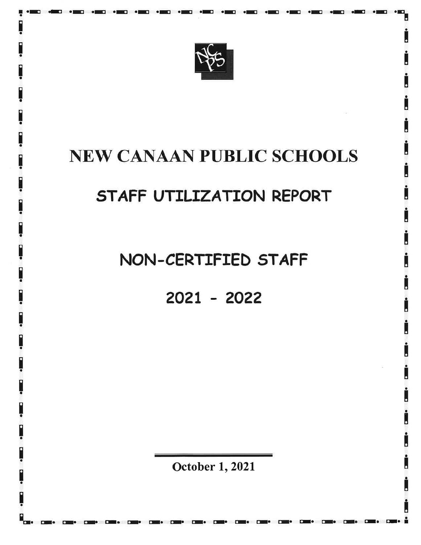

I .El .E .E .E .-t .-l .Il .El .E .E .El .E .E .E .E .Xt .E <sup>a</sup> 'a

# NEW CANAAN PUBLIC SCHOOLS

# 5TAFF UTILTZATION REPORT

## NON-CERTIFIED STAFF

202I - <sup>2022</sup>

October 1, 2021

l-. città della città di la città di la città di la città di la città di la città di la città di la città di l

 $\overline{a}$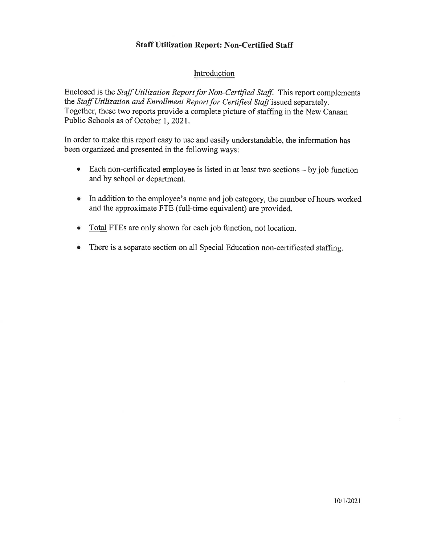### Staff Utilization Report: Non-Certified Staff

#### Introduction

Enclosed is the Staff Utilization Report for Non-Certified Staff. This report complements the Staff Utilization and Enrollment Report for Certified Staff issued separately. Together, these two reports provide a complete picture of staffing in the New Canaan Public Schools as of October 1,2021.

In order to make this report easy to use and easily understandable, the information has been organized and presented in the following ways:

- Each non-certificated employee is listed in at least two sections by job function and by school or department.
- In addition to the employee's name and job category, the number of hours worked and the approximate FTE (full-time equivalent) are provided.
- <sup>o</sup> Total FTEs are only shown for each job function, not location.
- There is a separate section on all Special Education non-certificated staffing.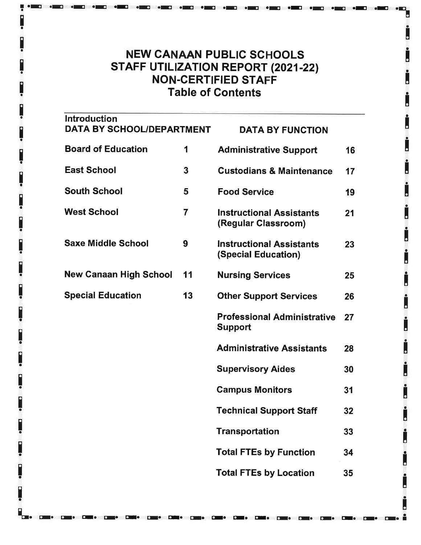### NEW CANAAN PUBLIC SCHOOLS STAFF UTILIZATION REPORT (2021-22) NON.CERTIFIED STAFF Table of Gontents

.-l .xl .-l .E .E .E .xt .Et oE .-t .xt .xt rE .-t .E .-t .E

'a

| <b>Introduction</b><br>DATA BY SCHOOL/DEPARTMENT |                | <b>DATA BY FUNCTION</b>                                       |    |
|--------------------------------------------------|----------------|---------------------------------------------------------------|----|
| <b>Board of Education</b>                        | 1              | <b>Administrative Support</b>                                 | 16 |
| East School                                      | 3              | <b>Custodians &amp; Maintenance</b>                           | 17 |
| South School                                     | 5              | <b>Food Service</b>                                           | 19 |
| <b>West School</b>                               | $\overline{7}$ | <b>Instructional Assistants</b><br>(Regular Classroom)        | 21 |
| Saxe Middle School                               | 9              | <b>Instructional Assistants</b><br><b>(Special Education)</b> | 23 |
| New Canaan High School                           | 11             | <b>Nursing Services</b>                                       | 25 |
| <b>Special Education</b>                         | 13             | <b>Other Support Services</b>                                 | 26 |
|                                                  |                | <b>Professional Administrative</b><br><b>Support</b>          | 27 |
|                                                  |                | <b>Administrative Assistants</b>                              | 28 |
|                                                  |                | <b>Supervisory Aides</b>                                      | 30 |
|                                                  |                | <b>Campus Monitors</b>                                        | 31 |
|                                                  |                | <b>Technical Support Staff</b>                                | 32 |
|                                                  |                | <b>Transportation</b>                                         | 33 |
|                                                  |                | <b>Total FTEs by Function</b>                                 | 34 |
|                                                  |                | <b>Total FTEs by Location</b>                                 | 35 |

L. r:1. cr. EI. Er. rI. rr. EI. il. rl. EI. Er. Er. Er. rr. cr. il. cr.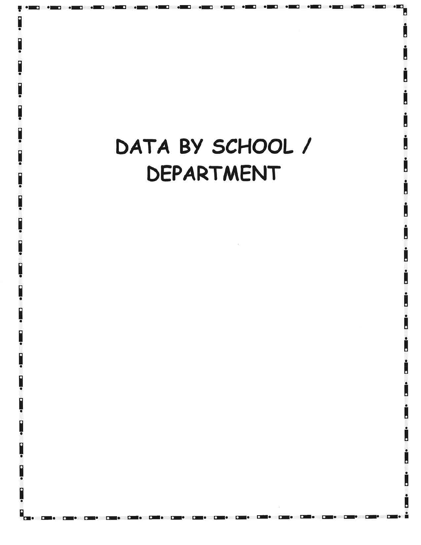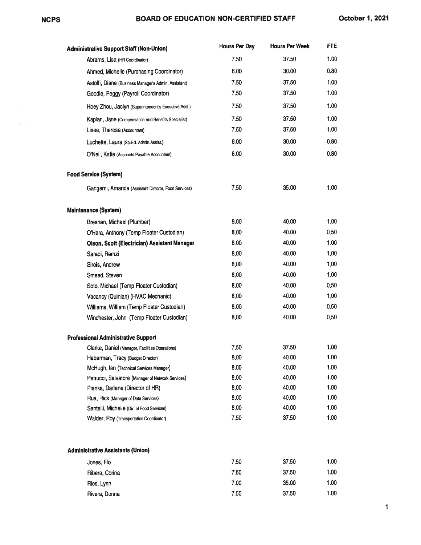$\sim$   $^{-1}$ 

### NCPS BOARD OF EDUCATION NON.GERTIFIED STAFF October 1,2021

| <b>Administrative Support Staff (Non-Union)</b>      | <b>Hours Per Day</b> | <b>Hours Per Week</b> | <b>FTE</b> |
|------------------------------------------------------|----------------------|-----------------------|------------|
| Abrams, Lisa (HR Coordinator)                        | 7.50                 | 37.50                 | 1.00       |
| Ahmed, Michelle (Purchasing Coordinator)             | 6.00                 | 30.00                 | 0.80       |
| Astolfi, Diane (Business Manager's Admin. Assistant) | 7.50                 | 37.50                 | 1.00       |
| Goodie, Peggy (Payroll Coordinator)                  | 7.50                 | 37.50                 | 1.00       |
| Hoey Zhou, Jaclyn (Superintendent's Executive Asst.) | 7.50                 | 37.50                 | 1.00       |
| Kaplan, Jane (Compensation and Benefits Specialist)  | 7.50                 | 37.50                 | 1.00       |
| Lisee, Theresa (Accountant)                          | 7.50                 | 37.50                 | 1.00       |
| Luchette, Laura (Sp.Ed. Admin.Assist.)               | 6.00                 | 30.00                 | 0.80       |
| O'Neil, Katie (Accounts Payable Accountant)          | 6.00                 | 30.00                 | 0.80       |
| <b>Food Service (System)</b>                         |                      |                       |            |
| Gangemi, Amanda (Assistant Director, Food Services)  | 7.50                 | 35.00                 | 1.00       |
| Maintenance (System)                                 |                      |                       |            |
| Bresnan, Michael (Plumber)                           | 8.00                 | 40.00                 | 1.00       |
| O'Hara, Anthony (Temp Floater Custodian)             | 8.00                 | 40.00                 | 0.50       |
| Olson, Scott (Electrician) Assistant Manager         | 8.00                 | 40.00                 | 1.00       |
| Saraqi, Remzi                                        | 8,00                 | 40.00                 | 1.00       |
| Sirois, Andrew                                       | 8.00                 | 40.00                 | 1.00       |
| Smead, Steven                                        | 8.00                 | 40.00                 | 1.00       |
| Soto, Michael (Temp Floater Custodian)               | 8.00                 | 40.00                 | 0,50       |
| Vacancy (Quinlan) (HVAC Mechanic)                    | 8.00                 | 40.00                 | 1.00       |
| Williams, William (Temp Floater Custodian)           | 8.00                 | 40.00                 | 0.50       |
| Winchester, John (Temp Floater Custodian)            | 8.00                 | 40.00                 | 0.50       |
| <b>Professional Administrative Support</b>           |                      |                       |            |
| Clarke, Daniel (Manager, Facilities Operations)      | 7.50                 | 37.50                 | 1.00       |
| Haberman, Tracy (Budget Director)                    | 8,00                 | 40.00                 | 1.00       |
| McHugh, Ian (Technical Services Manager)             | 8.00                 | 40.00                 | 1.00       |
| Petrucci, Salvatore (Manager of Network Services)    | 8.00                 | 40.00                 | 1.00       |
| Pianka, Darlene (Director of HR)                     | 8.00                 | 40.00                 | 1.00       |
| Rua, Rick (Manager of Data Services)                 | 8.00                 | 40.00                 | 1.00       |
| Santelli, Michelle (Dir. of Food Services)           | 8.00                 | 40.00                 | 1.00       |
| Walder, Roy (Transportation Coordinator)             | 7.50                 | 37.50                 | 1.00       |
| <b>Administrative Assistants (Union)</b>             |                      |                       |            |
| Jones, Flo                                           | 7.50                 | 37.50                 | 1.00       |
| Ribera, Corina                                       | 7.50                 | 37.50                 | 1.00       |
| Ries, Lynn                                           | 7.00                 | 35.00                 | 1.00       |
| Rivera, Donna                                        | 7.50                 | 37.50                 | 1.00       |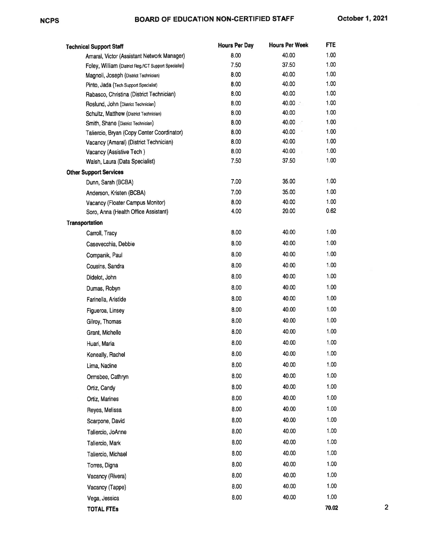| <b>Technical Support Staff</b>                                           | <b>Hours Per Day</b> | <b>Hours Per Week</b> | FTE          |   |
|--------------------------------------------------------------------------|----------------------|-----------------------|--------------|---|
| Amaral, Victor (Assistant Network Manager)                               | 8.00                 | 40.00                 | 1.00         |   |
| Foley, William (District Reg./ICT Support Specialist)                    | 7.50                 | 37.50                 | 1.00         |   |
| Magnoli, Joseph (District Technician)                                    | 8.00                 | 40.00                 | 1.00         |   |
| Pinto, Jada (Tech Support Specialist)                                    | 8.00                 | 40.00                 | 1.00         |   |
| Rabasco, Christina (District Technician)                                 | 8.00                 | 40.00                 | 1.00         |   |
| Roslund, John (District Technician)                                      | 8.00                 | 40.00                 | 1.00         |   |
| Schultz, Matthew (District Technician)                                   | 8.00                 | 40.00                 | 1.00         |   |
| Smith, Shane (District Technician)                                       | 8.00                 | 40.00                 | 1.00         |   |
| Taliercio, Bryan (Copy Center Coordinator)                               | 8.00                 | 40.00                 | 1.00         |   |
| Vacancy (Amaral) (District Technician)                                   | 8.00<br>8.00         | 40.00<br>40.00        | 1.00<br>1.00 |   |
| Vacancy (Assistive Tech)                                                 | 7.50                 | 37.50                 | 1.00         |   |
| Walsh, Laura (Data Specialist)                                           |                      |                       |              |   |
| <b>Other Support Services</b>                                            | 7.00                 | 35.00                 | 1.00         |   |
| Dunn, Sarah (BCBA)                                                       |                      |                       | 1.00         |   |
| Anderson, Kristen (BCBA)                                                 | 7.00                 | 35.00<br>40.00        | 1.00         |   |
| Vacancy (Floater Campus Monitor)<br>Soro, Anna (Health Office Assistant) | 8.00<br>4.00         | 20.00                 | 0.62         |   |
|                                                                          |                      |                       |              |   |
| Transportation                                                           | 8.00                 | 40.00                 | 1.00         |   |
| Carroll, Tracy<br>Casevecchia, Debbie                                    | 8.00                 | 40.00                 | 1.00         |   |
| Companik, Paul                                                           | 8.00                 | 40.00                 | 1.00         |   |
|                                                                          | 8.00                 | 40.00                 | 1.00         |   |
| Cousins, Sandra                                                          |                      |                       |              |   |
| Didelot, John                                                            | 8.00                 | 40.00                 | 1.00         |   |
| Dumas, Robyn                                                             | 8.00                 | 40.00                 | 1.00         |   |
| Farinella, Aristide                                                      | 8.00                 | 40.00                 | 1.00         |   |
| Figueroa, Linsey                                                         | 8.00                 | 40.00                 | 1.00         |   |
| Gilroy, Thomas                                                           | 8.00                 | 40.00                 | 1.00         |   |
| Grant, Michelle                                                          | 8.00                 | 40.00                 | 1.00         |   |
| Huari, Maria                                                             | 8.00                 | 40.00                 | 1.00         |   |
| Keneally, Rachel                                                         | 8.00                 | 40.00                 | 1.00         |   |
| Lima, Nadine                                                             | 8.00                 | 40.00                 | 1.00         |   |
| Ormsbee, Cathryn                                                         | 8.00                 | 40.00                 | 1.00         |   |
| Ortiz, Candy                                                             | 8.00                 | 40.00                 | 1.00         |   |
| Ortiz, Marines                                                           | 8.00                 | 40.00                 | 1.00         |   |
| Reyes, Melissa                                                           | 8.00                 | 40.00                 | 1.00         |   |
| Scarpone, David                                                          | 8.00                 | 40.00                 | 1.00         |   |
| Taliercio, JoAnne                                                        | 8.00                 | 40.00                 | 1.00         |   |
| Taliercio, Mark                                                          | 8.00                 | 40.00                 | 1.00         |   |
| Taliercio, Michael                                                       | 8.00                 | 40.00                 | 1.00         |   |
| Torres, Digna                                                            | 8.00                 | 40.00                 | 1.00         |   |
| Vacancy (Rivera)                                                         | 8.00                 | 40.00                 | 1.00         |   |
| Vacancy (Tappe)                                                          | 8.00                 | 40.00                 | 1.00         |   |
| Vega, Jessica                                                            | 8.00                 | 40.00                 | 1.00         |   |
| <b>TOTAL FTES</b>                                                        |                      |                       | 70.02        | 2 |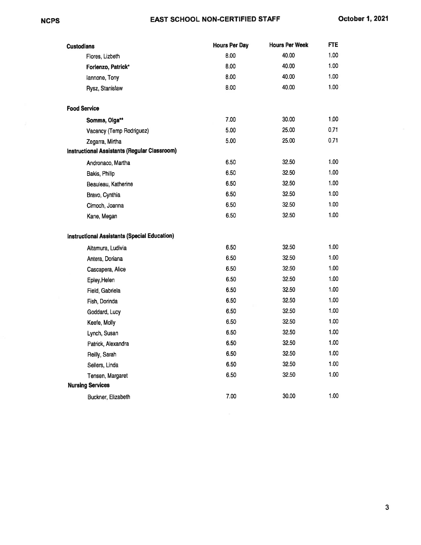#### EAST SCHOOL NON.CERTIFIED STAFF

| <b>Custodians</b>                                   | <b>Hours Per Day</b> | <b>Hours Per Week</b> | FTE  |
|-----------------------------------------------------|----------------------|-----------------------|------|
| Flores, Lizbeth                                     | 8.00                 | 40.00                 | 1.00 |
| Forlenzo, Patrick*                                  | 8.00                 | 40.00                 | 1.00 |
| lannone, Tony                                       | 8.00                 | 40.00                 | 1.00 |
| Rysz, Stanislaw                                     | 8.00                 | 40.00                 | 1.00 |
| <b>Food Service</b>                                 |                      |                       |      |
| Somma, Olga**                                       | 7.00                 | 30.00                 | 1.00 |
| Vacancy (Temp Rodriguez)                            | 5.00                 | 25.00                 | 0.71 |
| Zegarra, Mirtha                                     | 5.00                 | 25.00                 | 0.71 |
| Instructional Assistants (Regular Classroom)        |                      |                       |      |
| Andronaco, Martha                                   | 6.50                 | 32.50                 | 1.00 |
| Bakis, Philip                                       | 6.50                 | 32.50                 | 1.00 |
| Beauleau, Katherine                                 | 6.50                 | 32.50                 | 1.00 |
| Bravo, Cynthia                                      | 6.50                 | 32.50                 | 1.00 |
| Cimoch, Joanna                                      | 6.50                 | 32.50                 | 1.00 |
| Kane, Megan                                         | 6.50                 | 32.50                 | 1.00 |
| <b>Instructional Assistants (Special Education)</b> |                      |                       |      |
| Altamura, Ludivia                                   | 6.50                 | 32.50                 | 1.00 |
| Antera, Doriana                                     | 6.50                 | 32.50                 | 1.00 |
| Cascapera, Alice                                    | 6.50                 | 32.50                 | 1.00 |
| Epley, Helen                                        | 6.50                 | 32.50                 | 1.00 |
| Field, Gabriela                                     | 6.50                 | 32.50                 | 1.00 |
| Fish, Dorinda                                       | 6.50                 | 32.50                 | 1.00 |
| Goddard, Lucy                                       | 6.50                 | 32.50                 | 1.00 |
| Keefe, Molly                                        | 6.50                 | 32.50                 | 1.00 |
| Lynch, Susan                                        | 6.50                 | 32.50                 | 1.00 |
| Patrick, Alexandra                                  | 6.50                 | 32.50                 | 1.00 |
| Reilly, Sarah                                       | 6.50                 | 32.50                 | 1.00 |
| Sellers, Linda                                      | 6.50                 | 32.50                 | 1.00 |
| Tensen, Margaret                                    | 6.50                 | 32.50                 | 1.00 |
| <b>Nursing Services</b>                             |                      |                       |      |
| Buckner, Elizabeth                                  | 7.00                 | 30.00                 | 1.00 |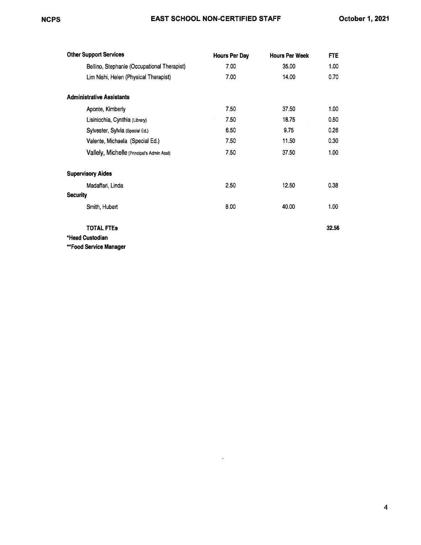| <b>Other Support Services</b>               | <b>Hours Per Day</b> | <b>Hours Per Week</b> | FTE   |
|---------------------------------------------|----------------------|-----------------------|-------|
| Bellino, Stephanie (Occupational Therapist) | 7.00                 | 35.00                 | 1.00  |
| Lim Nishi, Helen (Physical Therapist)       | 7.00                 | 14.00                 | 0.70  |
| <b>Administrative Assistants</b>            |                      |                       |       |
| Aponte, Kimberly                            | 7.50                 | 37.50                 | 1.00  |
| Lisinicchia, Cynthia (Library)              | 7.50                 | 18.75                 | 0.50  |
| Sylvester, Sylvia (Special Ed.)             | 6.50                 | 9.75                  | 0.26  |
| Valente, Michaela (Special Ed.)             | 7.50                 | 11.50                 | 0.30  |
| Vallely, Michelle (Principal's Admin Asst)  | 7.50                 | 37.50                 | 1.00  |
| <b>Supervisory Aides</b>                    |                      |                       |       |
| Madaffari, Linda                            | 2.50                 | 12.50                 | 0.38  |
| <b>Security</b>                             |                      |                       |       |
| Smith, Hubert                               | 8.00                 | 40.00                 | 1.00  |
| <b>TOTAL FTES</b>                           |                      |                       | 32.56 |
| *Head Custodian                             |                      |                       |       |
| **Food Service Manager                      |                      |                       |       |

 $\sim 10$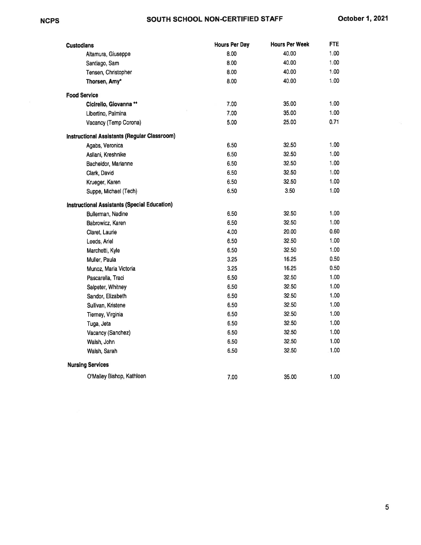### NCPS SOUTH SCHOOL NON-CERTIFIED STAFF October 1, 2021

| <b>Custodians</b>                            | <b>Hours Per Day</b> | <b>Hours Per Week</b> | <b>FTE</b> |
|----------------------------------------------|----------------------|-----------------------|------------|
| Altamura, Giuseppe                           | 8.00                 | 40.00                 | 1.00       |
| Santiago, Sam                                | 8.00                 | 40.00                 | 1.00       |
| Tensen, Christopher                          | 8.00                 | 40.00                 | 1.00       |
| Thorsen, Amy*                                | 8.00                 | 40.00                 | 1.00       |
| <b>Food Service</b>                          |                      |                       |            |
| Cicirello, Giovanna **                       | 7.00                 | 35.00                 | 1.00       |
| Libertino, Palmina                           | 7.00                 | 35.00                 | 1.00       |
| Vacancy (Temp Corona)                        | 5.00                 | 25.00                 | 0.71       |
| Instructional Assistants (Regular Classroom) |                      |                       |            |
| Agabs, Veronica                              | 6.50                 | 32.50                 | 1.00       |
| Asllani, Kreshnike                           | 6.50                 | 32.50                 | 1.00       |
| Bacheldor, Marianne                          | 6.50                 | 32.50                 | 1.00       |
| Clark, David                                 | 6.50                 | 32.50                 | 1.00       |
| Krueger, Karen                               | 6.50                 | 32.50                 | 1.00       |
| Suppe, Michael (Tech)                        | 6.50                 | 3.50                  | 1.00       |
| Instructional Assistants (Special Education) |                      |                       |            |
| Bullerman, Nadine                            | 6.50                 | 32.50                 | 1.00       |
| Babrowicz, Karen                             | 6.50                 | 32.50                 | 1.00       |
| Claret, Laurie                               | 4.00                 | 20.00                 | 0.60       |
| Leeds, Ariel                                 | 6.50                 | 32.50                 | 1.00       |
| Marchetti, Kyle                              | 6.50                 | 32.50                 | 1.00       |
| Muller, Paula                                | 3.25                 | 16.25                 | 0.50       |
| Munoz, Maria Victoria                        | 3.25                 | 16.25                 | 0.50       |
| Pascarella, Traci                            | 6.50                 | 32.50                 | 1.00       |
| Salpeter, Whitney                            | 6.50                 | 32.50                 | 1.00       |
| Sandor, Elizabeth                            | 6.50                 | 32.50                 | 1.00       |
| Sullivan, Kristene                           | 6.50                 | 32.50                 | 1.00       |
| Tierney, Virginia                            | 6.50                 | 32.50                 | 1.00       |
| Tuga, Jeta                                   | 6.50                 | 32.50                 | 1.00       |
| Vacancy (Sanchez)                            | 6.50                 | 32.50                 | 1.00       |
| Walsh, John                                  | 6.50                 | 32.50                 | 1.00       |
| Walsh, Sarah                                 | 6.50                 | 32.50                 | 1.00       |
| <b>Nursing Services</b>                      |                      |                       |            |
| O'Malley Bishop, Kathleen                    | 7.00                 | 35.00                 | 1.00       |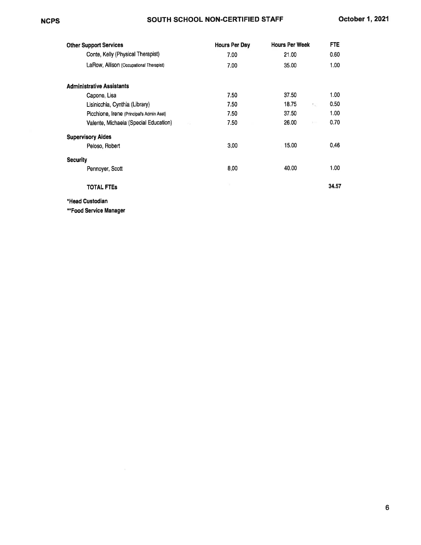#### **NCPS**

#### SOUTH SCHOOL NON.CERTIFIED STAFF

| <b>Other Support Services</b>                   | <b>Hours Per Day</b> | <b>Hours Per Week</b> | <b>FTE</b> |
|-------------------------------------------------|----------------------|-----------------------|------------|
| Conte, Kelly (Physical Therapist)               | 7.00                 | 21.00                 | 0.60       |
| LaRow, Allison (Occupational Therapist)         | 7.00                 | 35.00                 | 1.00       |
| <b>Administrative Assistants</b>                |                      |                       |            |
| Capone, Lisa                                    | 7.50                 | 37.50                 | 1.00       |
| Lisinicchia, Cynthia (Library)                  | 7.50                 | 18.75<br>553          | 0.50       |
| Picchione, Irene (Principal's Admin Asst)       | 7.50                 | 37.50                 | 1.00       |
| Valente, Michaela (Special Education)<br>$\sim$ | 7.50                 | 26.00<br>a m          | 0.70       |
| <b>Supervisory Aides</b>                        |                      |                       |            |
| Peloso, Robert                                  | 3.00                 | 15.00                 | 0.46       |
| <b>Security</b>                                 |                      |                       |            |
| Pennoyer, Scott                                 | 8.00                 | 40.00                 | 1.00       |
| TOTAL FTEs                                      |                      |                       | 34.57      |

\*Head Custodian

'\*Food Service Manager

6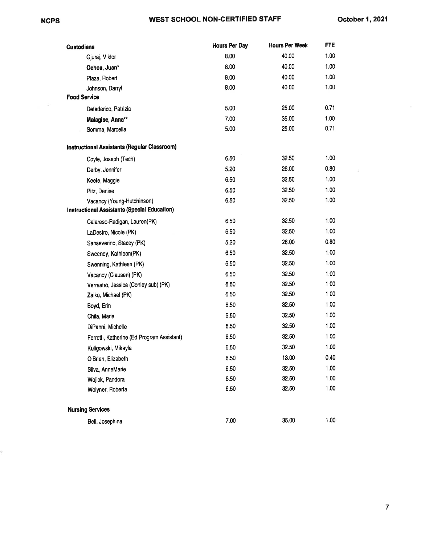÷

Ý.

#### WEST SCHOOL NON.CERTIFIED STAFF

 $\langle \hat{u} \rangle$ 

| <b>Custodians</b>                                   | <b>Hours Per Day</b> | <b>Hours Per Week</b> | <b>FTE</b> |
|-----------------------------------------------------|----------------------|-----------------------|------------|
| Gjuraj, Viktor                                      | 8.00                 | 40.00                 | 1.00       |
| Ochoa, Juan*                                        | 8.00                 | 40.00                 | 1.00       |
| Plaza, Robert                                       | 8.00                 | 40.00                 | 1.00       |
| Johnson, Darryl                                     | 8.00                 | 40.00                 | 1.00       |
| <b>Food Service</b>                                 |                      |                       |            |
| Defederico, Patrizia                                | 5.00                 | 25.00                 | 0.71       |
| Malagise, Anna**                                    | 7.00                 | 35.00                 | 1.00       |
| Somma, Marcella                                     | 5.00                 | 25.00                 | 0.71       |
| Instructional Assistants (Regular Classroom)        |                      |                       |            |
| Coyle, Joseph (Tech)                                | 6.50                 | 32.50                 | 1.00       |
| Derby, Jennifer                                     | 5.20                 | 26.00                 | 0.80       |
| Keefe, Maggie                                       | 6.50                 | 32.50                 | 1.00       |
| Pitz, Denise                                        | 6.50                 | 32.50                 | 1.00       |
| Vacancy (Young-Hutchinson)                          | 6.50                 | 32.50                 | 1.00       |
| <b>Instructional Assistants (Special Education)</b> |                      |                       |            |
| Calareso-Radigan, Lauren(PK)                        | 6.50                 | 32.50                 | 1.00       |
| LaDestro, Nicole (PK)                               | 6.50                 | 32.50                 | 1.00       |
| Sanseverino, Stacey (PK)                            | 5.20                 | 26.00                 | 0.80       |
| Sweeney, Kathleen(PK)                               | 6.50                 | 32.50                 | 1.00       |
| Swenning, Kathleen (PK)                             | 6.50                 | 32.50                 | 1.00       |
| Vacancy (Clausen) (PK)                              | 6.50                 | 32.50                 | 1.00       |
| Verrastro, Jessica (Conley sub) (PK)                | 6.50                 | 32.50                 | 1.00       |
| Zaiko, Michael (PK)                                 | 6.50                 | 32.50                 | 1.00       |
| Boyd, Erin                                          | 6.50                 | 32.50                 | 1.00       |
| Chila, Maria                                        | 6.50                 | 32.50                 | 1.00       |
| DiPanni, Michelle                                   | 6.50                 | 32.50                 | 1.00       |
| Ferretti, Katherine (Ed Program Assistant)          | 6.50                 | 32.50                 | 1.00       |
| Kuligowski, Mikayla                                 | 6.50                 | 32.50                 | 1.00       |
| O'Brien, Elizabeth                                  | 6.50                 | 13.00                 | 0.40       |
| Silva, AnneMarie                                    | 6.50                 | 32.50                 | 1.00       |
| Wojick, Pandora                                     | 6.50                 | 32.50                 | 1.00       |
| Wolyner, Roberta                                    | 6.50                 | 32.50                 | 1.00       |
| <b>Nursing Services</b>                             |                      |                       |            |
| Bell, Josephina                                     | 7.00                 | 35.00                 | 1.00       |

7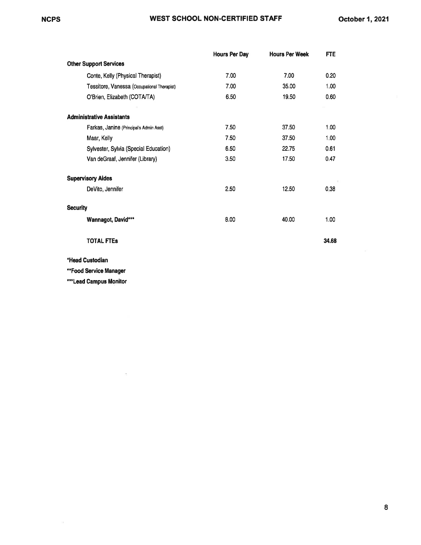|                                             | <b>Hours Per Day</b> | <b>Hours Per Week</b> | FTE   |
|---------------------------------------------|----------------------|-----------------------|-------|
| <b>Other Support Services</b>               |                      |                       |       |
| Conte, Kelly (Physical Therapist)           | 7.00                 | 7.00                  | 0.20  |
| Tessitore, Vanessa (Occupational Therapist) | 7.00                 | 35.00                 | 1.00  |
| O'Brien, Elizabeth (COTA/TA)                | 6.50                 | 19.50                 | 0.60  |
| <b>Administrative Assistants</b>            |                      |                       |       |
| Farkas, Janine (Principal's Admin Asst)     | 7.50                 | 37.50                 | 1.00  |
| Maar, Kelly                                 | 7.50                 | 37.50                 | 1.00  |
| Sylvester, Sylvia (Special Education)       | 6.50                 | 22.75                 | 0.61  |
| Van deGraaf, Jennifer (Library)             | 3.50                 | 17.50                 | 0.47  |
| <b>Supervisory Aides</b>                    |                      |                       |       |
| DeVito, Jennifer                            | 2.50                 | 12.50                 | 0.38  |
| <b>Security</b>                             |                      |                       |       |
| Wannagot, David***                          | 8.00                 | 40.00                 | 1.00  |
| <b>TOTAL FTES</b>                           |                      |                       | 34.68 |

\*Head Custodian

\*\*Food Service Manager

\*\*\*Lead Campus Monitor

 $\bar{z}$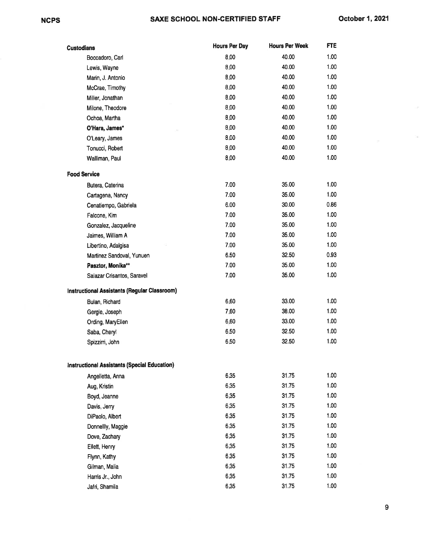$\sim$  10

| <b>Custodians</b>                                   | <b>Hours Per Day</b> | <b>Hours Per Week</b> | <b>FTE</b> |
|-----------------------------------------------------|----------------------|-----------------------|------------|
| Boccadoro, Carl                                     | 8.00                 | 40.00                 | 1.00       |
| Lewis, Wayne                                        | 8.00                 | 40.00                 | 1.00       |
| Marin, J. Antonio                                   | 8.00                 | 40.00                 | 1.00       |
| McCrae, Timothy                                     | 8.00                 | 40.00                 | 1.00       |
| Miller, Jonathan                                    | 8.00                 | 40.00                 | 1.00       |
| Milone, Theodore                                    | 8.00                 | 40.00                 | 1.00       |
| Ochoa, Martha                                       | 8.00                 | 40.00                 | 1.00       |
| O'Hara, James*                                      | 8.00                 | 40.00                 | 1.00       |
| O'Leary, James                                      | 8.00                 | 40.00                 | 1.00       |
| Tonucci, Robert                                     | 8.00                 | 40.00                 | 1.00       |
| Walliman, Paul                                      | 8.00                 | 40.00                 | 1.00       |
| <b>Food Service</b>                                 |                      |                       |            |
| Butera, Caterina                                    | 7.00                 | 35.00                 | 1.00       |
| Cartagena, Nancy                                    | 7.00                 | 35.00                 | 1.00       |
| Cenatiempo, Gabriela                                | 6.00                 | 30.00                 | 0.86       |
| Falcone, Kim                                        | 7.00                 | 35.00                 | 1.00       |
| Gonzalez, Jacqueline                                | 7.00                 | 35.00                 | 1.00       |
| Jaimes, William A                                   | 7.00                 | 35.00                 | 1.00       |
| Libertino, Adalgisa                                 | 7.00                 | 35.00                 | 1.00       |
| Martinez Sandoval, Yunuen                           | 6.50                 | 32.50                 | 0.93       |
| Pasztor, Monika**                                   | 7.00                 | 35.00                 | 1.00       |
| Salazar Crisantos, Saravel                          | 7.00                 | 35.00                 | 1.00       |
| Instructional Assistants (Regular Classroom)        |                      |                       |            |
| Bulan, Richard                                      | 6.60                 | 33.00                 | 1.00       |
| Gergle, Joseph                                      | 7.60                 | 38.00                 | 1.00       |
| Ording, MaryEllen                                   | 6.60                 | 33.00                 | 1.00       |
| Saba, Cheryl                                        | 6.50                 | 32.50                 | 1.00       |
| Spizzirri, John                                     | 6.50                 | 32.50                 | 1.00       |
|                                                     |                      |                       |            |
| <b>Instructional Assistants (Special Education)</b> |                      |                       |            |
| Angelletta, Anna                                    | 6.35                 | 31.75                 | 1.00       |
| Aug, Kristin                                        | 6.35                 | 31.75                 | 1.00       |
| Boyd, Jeanne                                        | 6.35                 | 31.75                 | 1.00       |
| Davis, Jerry                                        | 6.35                 | 31.75                 | 1.00       |
| DiPaolo, Albert                                     | 6.35                 | 31.75                 | 1.00       |
| Donnellly, Maggie                                   | 6.35                 | 31.75                 | 1.00       |
| Dove, Zachary                                       | 6.35                 | 31.75                 | 1.00       |
| Ellett, Henry                                       | 6.35                 | 31.75                 | 1.00       |
| Flynn, Kathy                                        | 6.35                 | 31.75                 | 1.00       |
| Gilman, Malia                                       | 6.35                 | 31.75                 | 1.00       |
| Harris Jr., John                                    | 6.35                 | 31.75                 | 1.00       |
| Jafri, Shamila                                      | 6.35                 | 31.75                 | 1.00       |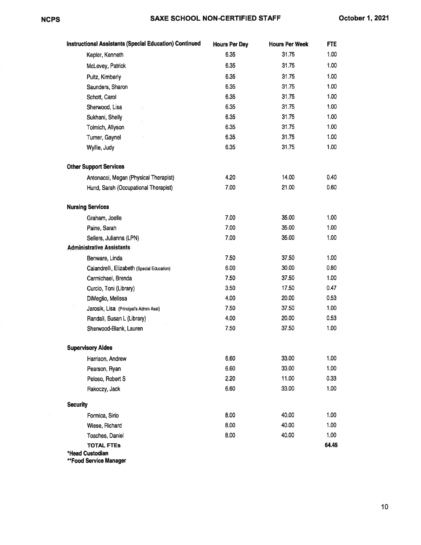| <b>Instructional Assistants (Special Education) Continued</b> | <b>Hours Per Day</b> | <b>Hours Per Week</b> | <b>FTE</b> |
|---------------------------------------------------------------|----------------------|-----------------------|------------|
| Kepler, Kenneth                                               | 6.35                 | 31.75                 | 1.00       |
| McLevey, Patrick                                              | 6.35                 | 31.75                 | 1.00       |
| Pultz, Kimberly                                               | 6.35                 | 31.75                 | 1.00       |
| Saunders, Sharon                                              | 6.35                 | 31.75                 | 1.00       |
| Schott, Carol                                                 | 6.35                 | 31.75                 | 1.00       |
| Sherwood, Lisa                                                | 6.35                 | 31.75                 | 1.00       |
| Sukhani, Shelly                                               | 6.35                 | 31.75                 | 1.00       |
| Tolmich, Allyson                                              | 6.35                 | 31.75                 | 1.00       |
| Turner, Gaynel                                                | 6.35                 | 31.75                 | 1.00       |
| Wyllie, Judy                                                  | 6.35                 | 31.75                 | 1.00       |
| <b>Other Support Services</b>                                 |                      |                       |            |
| Antonacci, Megan (Physical Therapist)                         | 4.20                 | 14.00                 | 0.40       |
| Hund, Sarah (Occupational Therapist)                          | 7.00                 | 21.00                 | 0.60       |
| <b>Nursing Services</b>                                       |                      |                       |            |
| Graham, Joelle                                                | 7.00                 | 35.00                 | 1.00       |
| Paine, Sarah                                                  | 7.00                 | 35.00                 | 1.00       |
| Sellers, Julianna (LPN)                                       | 7.00                 | 35.00                 | 1.00       |
| <b>Administrative Assistants</b>                              |                      |                       |            |
| Benware, Linda                                                | 7.50                 | 37.50                 | 1.00       |
| Calandrelli, Elizabeth (Special Education)                    | 6.00                 | 30.00                 | 0.80       |
| Carmichael, Brenda                                            | 7.50                 | 37.50                 | 1.00       |
| Curcio, Toni (Library)                                        | 3.50                 | 17.50                 | 0.47       |
| DiMeglio, Melissa                                             | 4.00                 | 20.00                 | 0.53       |
| Jarosik, Lisa (Principal's Admin Asst)                        | 7.50                 | 37.50                 | 1.00       |
| Randall, Susan L (Library)                                    | 4.00                 | 20.00                 | 0.53       |
| Sherwood-Blank, Lauren                                        | 7.50                 | 37.50                 | 1.00       |
| <b>Supervisory Aides</b>                                      |                      |                       |            |
| Harrison, Andrew                                              | 6.60                 | 33.00                 | 1.00       |
| Pearson, Ryan                                                 | 6.60                 | 33.00                 | 1.00       |
| Peloso, Robert S                                              | 2.20                 | 11.00                 | 0.33       |
| Rakoczy, Jack                                                 | 6.60                 | 33.00                 | 1.00       |
| <b>Security</b>                                               |                      |                       |            |
| Formica, Sirio                                                | 8.00                 | 40.00                 | 1.00       |
| Wiese, Richard                                                | 8.00                 | 40.00                 | 1.00       |
| Tosches, Daniel                                               | 8.00                 | 40.00                 | 1.00       |
| <b>TOTAL FTEs</b><br>*Head Custodian                          |                      |                       | 64.45      |

\*\*Food Service Manager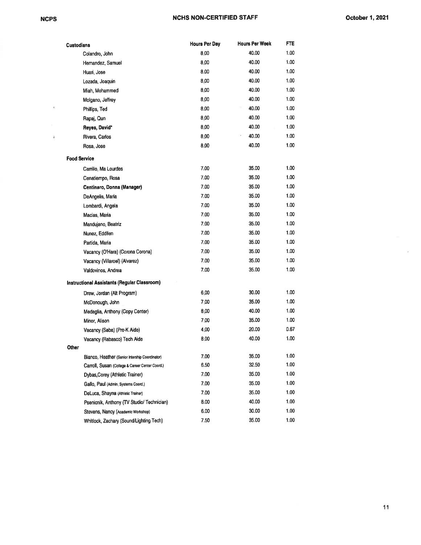$\sim 10$ 

 $\overline{k}$ 

| <b>Custodians</b> |                                                     | <b>Hours Per Day</b> | Hours Per Week | FTE  |
|-------------------|-----------------------------------------------------|----------------------|----------------|------|
|                   | Colandro, John                                      | 8.00                 | 40.00          | 1.00 |
|                   | Hernandez, Samuel                                   | 8.00                 | 40.00          | 1.00 |
|                   | Huari, Jose                                         | 8.00                 | 40.00          | 1.00 |
|                   | Lozada, Joaquin                                     | 8.00                 | 40.00          | 1.00 |
|                   | Miah, Mohammed                                      | 8.00                 | 40.00          | 1.00 |
|                   | Molgano, Jeffrey                                    | 8.00                 | 40.00          | 1.00 |
|                   | Phillips, Ted                                       | 8.00                 | 40.00          | 1.00 |
|                   | Rapaj, Qun                                          | 8.00                 | 40.00          | 1.00 |
|                   | Reyes, David*                                       | 8.00                 | 40.00          | 1.00 |
|                   | Rivera, Carlos                                      | 8.00                 | 40.00          | 1.00 |
|                   | Rosa, Jose                                          | 8.00                 | 40.00          | 1.00 |
|                   | <b>Food Service</b>                                 |                      |                |      |
|                   | Carrillo, Ma Lourdes                                | 7.00                 | 35.00          | 1.00 |
|                   | Cenatiempo, Rosa                                    | 7.00                 | 35.00          | 1.00 |
|                   | Centinaro, Donna (Manager)                          | 7.00                 | 35.00          | 1.00 |
|                   | DeAngelis, Maria                                    | 7.00                 | 35.00          | 1.00 |
|                   | Lombardi, Angela                                    | 7.00                 | 35.00          | 1.00 |
|                   | Macias, Maria                                       | 7.00                 | 35.00          | 1.00 |
|                   | Mandujano, Beatriz                                  | 7.00                 | 35.00          | 1.00 |
|                   | Nunez, Eddilen                                      | 7.00                 | 35.00          | 1.00 |
|                   | Partida, Maria                                      | 7.00                 | 35.00          | 1.00 |
|                   | Vacancy (O'Hara) (Corona Corona)                    | 7.00                 | 35.00          | 1.00 |
|                   | Vacancy (Villaroel) (Alvarez)                       | 7.00                 | 35.00          | 1.00 |
|                   | Valdovinos, Andrea                                  | 7.00                 | 35.00          | 1.00 |
|                   | <b>Instructional Assistants (Regular Classroom)</b> |                      |                |      |
|                   | Drew, Jordan (Alt Program)                          | 6.00                 | 30.00          | 1.00 |
|                   | McDonough, John                                     | 7.00                 | 35.00          | 1.00 |
|                   | Medaglia, Anthony (Copy Center)                     | 6.00                 | 40.00          | 1.00 |
|                   | Minor, Alison                                       | 7.00                 | 35.00          | 1.00 |
|                   | Vacancy (Saba) (Pre-K Aide)                         | 4.00                 | 20.00          | 0.67 |
|                   | Vacancy (Rabasco) Tech Aide                         | 8.00                 | 40.00          | 1.00 |
| <b>Other</b>      |                                                     |                      |                |      |
|                   | Bianco, Heather (Senior Intership Coordinator)      | 7.00                 | 35.00          | 1.00 |
|                   | Carroll, Susan (College & Career Center Coord.)     | 6.50                 | 32.50          | 1.00 |
|                   | Dybas,Corey (Athletic Trainer)                      | 7.00                 | 35.00          | 1.00 |
|                   | Gallo, Paul (Admin: Systems Coord.)                 | 7.00                 | 35.00          | 1.00 |
|                   | DeLuca, Shayna (Athletic Trainer)                   | 7.00                 | 35.00          | 1.00 |
|                   | Psenicnik, Anthony (TV Studio/ Technician)          | 8.00                 | 40.00          | 1.00 |
|                   | Stevens, Nancy (Academic Workshop)                  | 6.00                 | 30.00          | 1.00 |
|                   | Whitlock, Zachary (Sound/Lighting Tech)             | 7.50                 | 35.00          | 1.00 |

 $\mu_{\rm c}$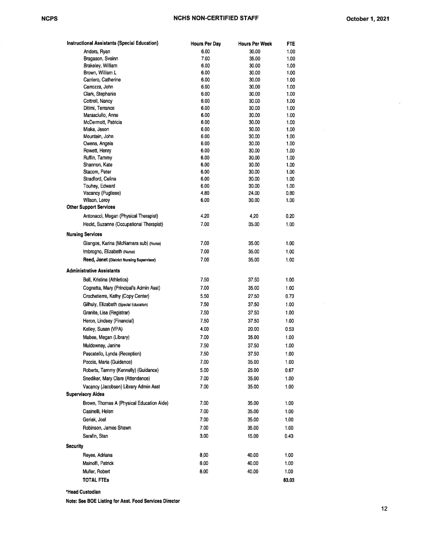×

| <b>Instructional Assistants (Special Education)</b> | <b>Hours Per Day</b> | <b>Hours Per Week</b> | FTE          |
|-----------------------------------------------------|----------------------|-----------------------|--------------|
| Anders, Ryan                                        | 6.00                 | 30.00                 | 1.00         |
| Bragason, Sveinn                                    | 7.00                 | 35.00                 | 1.00         |
| Brakeley, William                                   | 6.00                 | 30.00                 | 1.00         |
| Brown, William L                                    | 6.00                 | 30.00                 | 1.00         |
| Carriero, Catherine                                 | 6.00                 | 30.00                 | 1.00         |
| Carrozza, John                                      | 6.00                 | 30.00                 | 1.00         |
| Clark, Stephanie                                    | 6.00                 | 30.00                 | 1.00         |
| Cottrell, Nancy                                     | 6.00                 | 30.00                 | 1.00         |
| Ditimi, Terrance                                    | 6.00                 | 30.00                 | 1.00         |
| Marasciullo, Anne<br>McDermott, Patricia            | 6.00<br>6.00         | 30.00<br>30.00        | 1.00<br>1.00 |
| Miska, Jason                                        | 6.00                 | 30.00                 | 1.00         |
| Mountain, John                                      | 6.00                 | 30.00                 | 1.00         |
| Owens, Angela                                       | 6.00                 | 30.00                 | 1.00         |
| Rowett, Henry                                       | 6.00                 | 30.00                 | 1.00         |
| Ruffin, Tammy                                       | 6.00                 | 30.00                 | 1.00         |
| Shannon, Kate                                       | 6.00                 | 30.00                 | 1.00         |
| Stacom, Peter                                       | 6.00                 | 30.00                 | 1.00         |
| Stradford, Celine                                   | 6.00                 | 30.00                 | 1.00         |
| Touhey, Edward                                      | 6.00                 | 30.00                 | 1.00         |
| Vacancy (Pugliese)                                  | 4.80                 | 24.00                 | 0.80         |
| Wilson, Leroy                                       | 6.00                 | 30.00                 | 1.00         |
| <b>Other Support Services</b>                       |                      |                       |              |
| Antonacci, Megan (Physical Therapist)               | 4.20                 | 4,20                  | 0.20         |
| Heckt, Suzanne (Occupational Therapist)             | 7.00                 | 35.00                 | 1.00         |
| <b>Nursing Services</b>                             |                      |                       |              |
| Giangos, Karina (McNamara sub) (Nurse)              | 7.00                 | 35.00                 | 1.00         |
| Imbrogno, Elizabeth (Nurse)                         | 7.00                 | 35.00                 | 1.00         |
| Reed, Janet (District Nursing Supervisor)           | 7.00                 | 35.00                 | 1.00         |
| <b>Administrative Assistants</b>                    |                      |                       |              |
| Bell, Kristina (Athletics)                          | 7.50                 | 37.50                 | 1.00         |
| Cognetta, Mary (Principal's Admin Asst)             | 7.00                 | 35.00                 | 1.00         |
| Crochetierre, Kathy (Copy Center)                   | 5.50                 | 27.50                 | 0.73         |
| Gilhuly, Elizabeth (Special Education)              | 7.50                 | 37.50                 | 1.00         |
|                                                     |                      |                       |              |
| Granite, Lisa (Registrar)                           | 7.50                 | 37.50                 | 1.00         |
| Heron, Lindsey (Financial)                          | 7.50                 | 37.50                 | 1.00         |
| Kelley, Susan (VPA)                                 | 4.00                 | 20.00                 | 0.53         |
| Mabee, Megan (Library)                              | 7.00                 | 35.00                 | 1.00         |
| Muldowney, Janine                                   | 7.50                 | 37.50                 | 1.00         |
| Pescatello, Lynda (Reception)                       | 7.50                 | 37.50                 | 1.00         |
| Poccia, Maria (Guidance)                            | 7.00                 | 35.00                 | 1.00         |
| Roberts, Tammy (Kennelly) (Guidance)                | 5.00                 | 25.00                 | 0.67         |
| Snediker, Mary Clare (Attendance)                   | 7.00                 | 35.00                 | 1.00         |
| Vacancy (Jacobsen) Library Admin Asst               | 7.00                 | 35.00                 | 1.00         |
| <b>Supervisory Aides</b>                            |                      |                       |              |
| Brown, Thomas A (Physical Education Aide)           | 7.00                 | 35.00                 | 1.00         |
| Casinelli, Helen                                    | 7.00                 | 35.00                 | 1.00         |
| Geriak, Joel                                        | 7.00                 | 35.00                 | 1.00<br>¥    |
| Robinson, James Shawn                               | 7.00                 |                       |              |
|                                                     |                      | 35.00                 | 1.00         |
| Sarafin, Stan                                       | 3.00                 | 15.00                 | 0.43         |
| <b>Security</b>                                     |                      |                       |              |
| Reyes, Adriana                                      | 8.00                 | 40.00                 | 1.00         |
| Mainolfi, Patrick                                   | 8.00                 | 40.00                 | 1.00         |
| Muller, Robert                                      | 8.00                 | 40.00                 | 1.00         |
| <b>TOTAL FTEs</b>                                   |                      |                       | 83.03        |

'Head Custodian

Note: See BOE Listing for Asst. Food Services Director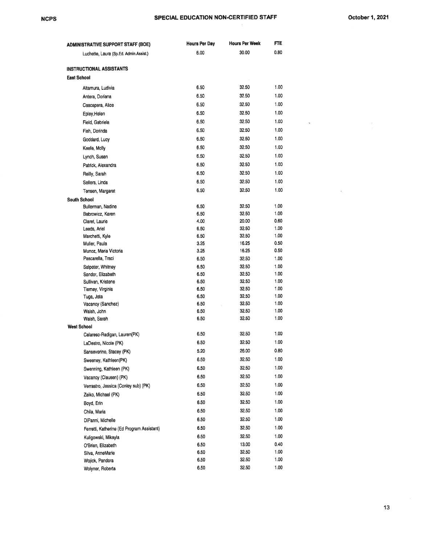#### SPECIAL EDUCATION NON-CERTIFIED STAFF

 $\infty$ 

 $\bar{\nu}_c$ 

| ADMINISTRATIVE SUPPORT STAFF (BOE)         | <b>Hours Per Day</b> | <b>Hours Per Week</b> | FTE          |
|--------------------------------------------|----------------------|-----------------------|--------------|
| Luchette, Laura (Sp.Ed. Admin.Assist.)     | 6.00                 | 30.00                 | 0.80         |
| INSTRUCTIONAL ASSISTANTS                   |                      |                       |              |
| <b>East School</b>                         |                      |                       |              |
| Altamura, Ludivia                          | 6.50                 | 32.50                 | 1.00         |
| Antera, Doriana                            | 6.50                 | 32.50                 | 1.00         |
| Cascapera, Alice                           | 6.50                 | 32.50                 | 1.00         |
| Epley, Helen                               | 6.50                 | 32.50                 | 1.00         |
| Field, Gabriela                            | 6.50                 | 32.50                 | 1.00         |
| Fish, Dorinda                              | 6.50                 | 32.50                 | 1.00         |
| Goddard, Lucy                              | 6.50                 | 32.50                 | 1.00         |
| Keefe, Molly                               | 6.50                 | 32.50                 | 1.00         |
| Lynch, Susan                               | 6.50                 | 32.50                 | 1.00         |
| Patrick, Alexandra                         | 6.50                 | 32.50                 | 1.00         |
|                                            | 6.50                 | 32.50                 | 1.00         |
| Reilly, Sarah                              | 6.50                 | 32.50                 | 1.00         |
| Sellers, Linda                             | 6.50                 | 32.50                 | 1.00         |
| Tensen, Margaret                           |                      |                       |              |
| <b>South School</b><br>Bullerman, Nadine   | 6.50                 | 32.50                 | 1.00         |
| Babrowicz, Karen                           | 6.50                 | 32.50                 | 1.00         |
| Claret, Laurie                             | 4.00                 | 20.00                 | 0.60         |
| Leeds, Ariel                               | 6.50                 | 32.50                 | 1.00         |
| Marchetti, Kyle                            | 6.50                 | 32.50                 | 1.00         |
| Mulier, Paula                              | 3.25                 | 16.25                 | 0.50         |
| Munoz, Maria Victoria                      | 3.25                 | 16.25                 | 0.50         |
| Pascarella, Traci                          | 6.50                 | 32.50                 | 1.00         |
| Salpeter, Whitney                          | 6.50                 | 32.50                 | 1.00         |
| Sandor, Elizabeth                          | 6.50                 | 32.50                 | 1.00         |
| Sullivan, Kristene<br>Tierney, Virginia    | 6.50<br>6.50         | 32.50<br>32.50        | 1.00<br>1.00 |
| Tuga, Jeta                                 | 6.50                 | 32.50                 | 1.00         |
| Vacancy (Sanchez)                          | 6.50                 | 32.50                 | 1.00         |
| Walsh, John                                | 6.50                 | 32.50                 | 1.00         |
| Walsh, Sarah                               | 6.50                 | 32.50                 | 1.00         |
| <b>West School</b>                         |                      |                       |              |
| Calareso-Radigan, Lauren(PK)               | 6.50                 | 32.50                 | 1.00         |
| LaDestro, Nicole (PK)                      | 6.50                 | 32.50                 | 1.00         |
| Sanseverino, Stacey (PK)                   | 5.20                 | 26.00                 | 0.80         |
| Sweeney, Kathleen(PK)                      | 6.50                 | 32.50                 | 1.00         |
| Swenning, Kathleen (PK)                    | 6.50                 | 32.50                 | 1.00         |
| Vacancy (Clausen) (PK)                     | 6.50                 | 32.50                 | 1.00         |
| Verrastro, Jessica (Conley sub) (PK)       | 6.50                 | 32.50                 | 1.00         |
| Zaiko, Michael (PK)                        | 6.50                 | 32.50                 | 1.00         |
| Boyd, Erin                                 | 6.50                 | 32.50                 | 1.00         |
| Chila, Maria                               | 6.50                 | 32.50                 | 1.00         |
| DiPanni, Michelle                          | 6.50                 | 32.50                 | 1.00         |
| Ferretti, Katherine (Ed Program Assistant) | 6.50                 | 32.50                 | 1.00         |
| Kuligowski, Mikayla                        | 6.50                 | 32.50                 | 1.00         |
| O'Brien, Elizabeth                         | 6.50                 | 13.00                 | 0.40         |
| Silva, AnneMarie                           | 6.50                 | 32.50                 | 1.00         |
| Wojick, Pandora                            | 6.50                 | 32.50                 | 1.00         |
| Wolyner, Roberta                           | 6.50                 | 32.50                 | 1.00         |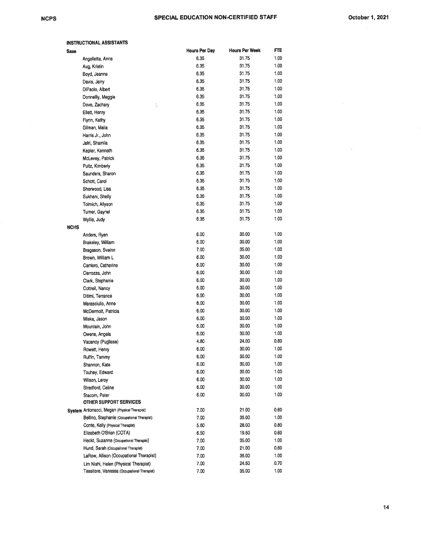p)

| <b>Saxe</b> |                                              | <b>Hours Per Day</b> | <b>Hours Per Week</b> | FTE  |
|-------------|----------------------------------------------|----------------------|-----------------------|------|
|             | Angelletta, Anna                             | 6.35                 | 31.75                 | 1.00 |
|             | Aug, Kristin                                 | 6.35                 | 31.75                 | 1.00 |
|             | Boyd, Jeanne                                 | 6.35                 | 31.75                 | 1.00 |
|             | Davis, Jerry                                 | 6.35                 | 31.75                 | 1.00 |
|             | DiPaolo, Albert                              | 6.35                 | 31.75                 | 1.00 |
|             | Donnellly, Maggie                            | 6.35                 | 31.75                 | 1.00 |
|             | Dove, Zachary<br>š                           | 6.35                 | 31.75                 | 1.00 |
|             | Ellett, Henry                                | 6.35                 | 31.75                 | 1.00 |
|             | Flynn, Kathy                                 | 6.35                 | 31.75                 | 1.00 |
|             | Gilman, Malia                                | 6.35                 | 31.75                 | 1.00 |
|             | Harris Jr., John                             | 6.35                 | 31.75                 | 1.00 |
|             | Jafri, Shamila                               | 6.35                 | 31.75                 | 1.00 |
|             | Kepler, Kenneth                              | 6.35                 | 31.75                 | 1.00 |
|             | McLevey, Patrick                             | 6.35                 | 31.75                 | 1.00 |
|             | Pultz, Kimberly                              | 6.35                 | 31.75                 | 1.00 |
|             | Saunders, Sharon                             | 6.35                 | 31.75                 | 1.00 |
|             | Schott, Carol                                | 6.35                 | 31.75                 | 1.00 |
|             | Sherwood, Lisa                               | 6.35                 | 31.75                 | 1.00 |
|             | Sukhani, Shelly                              | 6.35                 | 31.75                 | 1.00 |
|             | Tolmich, Allyson                             | 6.35                 | 31.75                 | 1.00 |
|             | Tumer, Gaynel                                | 6.35                 | 31.75                 | 1.00 |
|             | Wyllie, Judy                                 | 6.35                 | 31.75                 | 1.00 |
| <b>NCHS</b> |                                              |                      |                       |      |
|             | Anders, Ryan                                 | 6.00                 | 30.00                 | 1.00 |
|             | Brakeley, William                            | 6.00                 | 30.00                 | 1.00 |
|             | Bragason, Sveinn                             | 7.00                 | 35.00                 | 1.00 |
|             | Brown, William L                             | 6.00                 | 30.00                 | 1.00 |
|             | Carriero, Catherine                          | 6.00                 | 30.00                 | 1.00 |
|             | Carrozza, John                               | 6.00                 | 30.00                 | 1.00 |
|             | Clark, Stephanie                             | 6.00                 | 30.00                 | 1.00 |
|             | Cottrell, Nancy                              | 6.00                 | 30.00                 | 1.00 |
|             | Ditimi, Terrance                             | 6.00                 | 30.00                 | 1.00 |
|             | Marasciullo, Anne                            | 6.00                 | 30.00                 | 1.00 |
|             | McDermott, Patricia                          | 6.00                 | 30.00                 | 1.00 |
|             | Miska, Jason                                 | 6.00                 | 30.00                 | 1.00 |
|             | Mountain, John                               | 6.00                 | 30.00                 | 1.00 |
|             | Owens, Angela                                | 6.00                 | 30.00                 | 1.00 |
|             | Vacancy (Pugliese)                           | 4.80                 | 24.00                 | 0.80 |
|             | Rowett, Henry                                | 6.00                 | 30.00                 | 1.00 |
|             | Ruffin, Tammy                                | 6.00                 | 30.00                 | 1.00 |
|             | Shannon, Kate                                | 6.00                 | 30.00                 | 1.00 |
|             | Touhey, Edward                               | 6.00                 | 30.00                 | 1.00 |
|             | Wilson, Leroy                                | 6.00                 | 30.00                 | 1.00 |
|             | Stradford, Celine                            | 6.00                 | 30.00                 | 1.00 |
|             | Stacom, Peter                                | 6.00                 | 30.00                 | 1.00 |
|             | OTHER SUPPORT SERVICES                       |                      |                       |      |
|             | System Antonacci, Megan (Physical Therapist) | 7.00                 | 21.00                 | 0.60 |
|             | Bellino, Stephanie (Occupational Therapist)  | 7.00                 | 35.00                 | 1.00 |
|             | Conte, Kelly (Physical Therapist)            | 5.60                 | 28.00                 | 0.80 |
|             | Elizabeth O'Brien (COTA)                     | 6.50                 | 19.50                 | 0.60 |
|             | Heckt, Suzanne (Occupational Therapist)      | 7.00                 | 35.00                 | 1.00 |
|             | Hund, Sarah (Occupational Therapist)         | 7.00                 | 21.00                 | 0.60 |
|             | LaRow, Allison (Occupational Therapist)      | 7.00                 | 35.00                 | 1.00 |
|             | Lim Nishi, Helen (Physical Therapist)        | 7.00                 | 24.50                 | 0.70 |
|             | Tessitore, Vanessa (Occupational Therapist)  | 7.00                 | 35.00                 | 1.00 |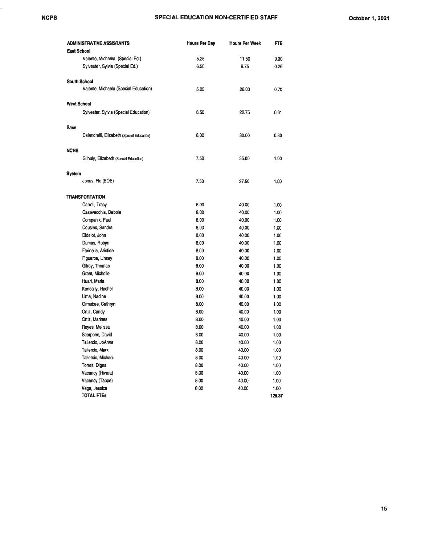|                    | <b>ADMINISTRATIVE ASSISTANTS</b>           | <b>Hours Per Day</b> | <b>Hours Per Week</b> | FTE    |
|--------------------|--------------------------------------------|----------------------|-----------------------|--------|
| <b>East School</b> |                                            |                      |                       |        |
|                    | Valente, Michaela (Special Ed.)            | 5.25                 | 11.50                 | 0.30   |
|                    | Sylvester, Sylvia (Special Ed.)            | 6.50                 | 9.75                  | 0.26   |
|                    | <b>South School</b>                        |                      |                       |        |
|                    | Valente, Michaela (Special Education)      | 5.25                 | 26.00                 | 0.70   |
| <b>West School</b> |                                            |                      |                       |        |
|                    | Sylvester, Sylvia (Special Education)      | 6.50                 | 22.75                 | 0.61   |
| Saxe               |                                            |                      |                       |        |
|                    | Calandrelli, Elizabeth (Special Education) | 6.00                 | 30.00                 | 0.80   |
| NCHS               |                                            |                      |                       |        |
|                    | Gilhuly, Elizabeth (Special Education)     | 7.50                 | 35.00                 | 1.00   |
| System             |                                            |                      |                       |        |
|                    | Jones, Flo (BOE)                           | 7.50                 | 37.50                 | 1.00   |
|                    | TRANSPORTATION                             |                      |                       |        |
|                    | Carroll, Tracy                             | 8.00                 | 40.00                 | 1.00   |
|                    | Casevecchia, Debbie                        | 8.00                 | 40.00                 | 1.00   |
|                    | Companik, Paul                             | 8.00                 | 40.00                 | 1.00   |
|                    | Cousins, Sandra                            | 8.00                 | 40.00                 | 1.00   |
|                    | Didelot, John                              | 6.00                 | 40.00                 | 1.00   |
|                    | Dumas, Robyn                               | 8.00                 | 40.00                 | 1.00   |
|                    | Farinella, Aristide                        | 8.00                 | 40.00                 | 1.00   |
|                    | Figueroa, Linsey                           | 8.00                 | 40.00                 | 1.00   |
|                    | Gilroy, Thomas                             | 8.00                 | 40.00                 | 1.00   |
|                    | Grant, Michelle                            | 8.00                 | 40.00                 | 1.00   |
|                    | Huari, Maria                               | 8.00                 | 40.00                 | 1.00   |
|                    | Keneally, Rachel                           | 8.00                 | 40.00                 | 1.00   |
|                    | Lima, Nadine                               | 8.00                 | 40.00                 | 1.00   |
|                    | Ormsbee, Cathryn                           | 8.00                 | 40.00                 | 1.00   |
|                    | Ortiz, Candy                               | 8.00                 | 40.00                 | 1.00   |
|                    | Ortiz, Marines                             | 8.00                 | 40.00                 | 1.00   |
|                    | Reyes, Melissa                             | 8.00                 | 40.00                 | 1.00   |
|                    | Scarpone, David                            | 8.00                 | 40.00                 | 1.00   |
|                    | Taliercio, JoAnne                          | 8.00                 | 40.00                 | 1.00   |
|                    | Taliercio, Mark                            | 8.00                 | 40.00                 | 1.00   |
|                    | Taliercio, Michael                         | 8.00                 | 40.00                 | 1.00   |
|                    | Torres, Digna                              | 8.00                 | 40.00                 | 1.00   |
|                    | Vacancy (Rivera)                           | 8.00                 | 40.00                 | 1.00   |
|                    | Vacancy (Tappe)                            | 8.00                 | 40.00                 | 1.00   |
|                    | Vega, Jessica                              | 8.00                 | 40.00                 | 1.00   |
|                    | <b>TOTAL FTES</b>                          |                      |                       | 125.37 |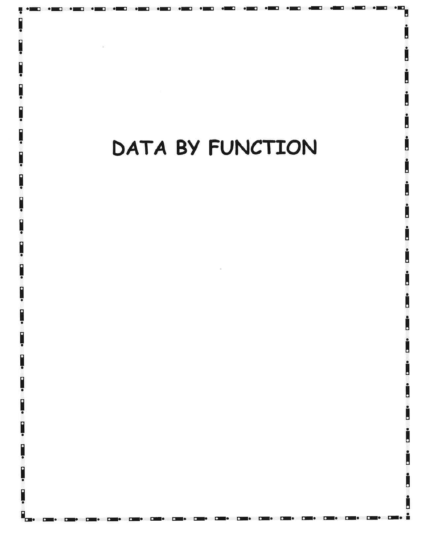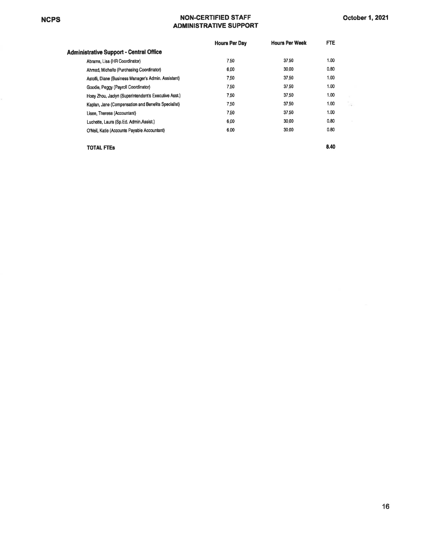#### NCPS NON.CERTIFIED STAFF ADMINISTRATIVE SUPPORT

|                                                      | <b>Hours Per Day</b> | <b>Hours Per Week</b> | FTE. |
|------------------------------------------------------|----------------------|-----------------------|------|
| Administrative Support - Central Office              |                      |                       |      |
| Abrams, Lisa (HR Coordinator)                        | 7.50                 | 37.50                 | 1.00 |
| Ahmed, Michelle (Purchasing Coordinator)             | 6.00                 | 30.00                 | 0.80 |
| Astolfi, Diane (Business Manager's Admin. Assistant) | 7.50                 | 37.50                 | 1.00 |
| Goodie, Peggy (Payroll Coordinator)                  | 7.50                 | 37.50                 | 1.00 |
| Hoev Zhou, Jaclyn (Superintendent's Executive Asst.) | 7.50                 | 37.50                 | 1.00 |
| Kaplan, Jane (Compensation and Benefits Specialist)  | 7.50                 | 37.50                 | 1.00 |
| Lisee, Theresa (Accountant)                          | 7.50                 | 37.50                 | 1.00 |
| Luchette, Laura (Sp.Ed. Admin.Assist.)               | 6.00                 | 30.00                 | 0.80 |
| O'Neil. Katie (Accounts Pavable Accountant)          | 6.00                 | 30.00                 | 0.80 |
|                                                      |                      |                       |      |

TOTAL FTES

8.40

i.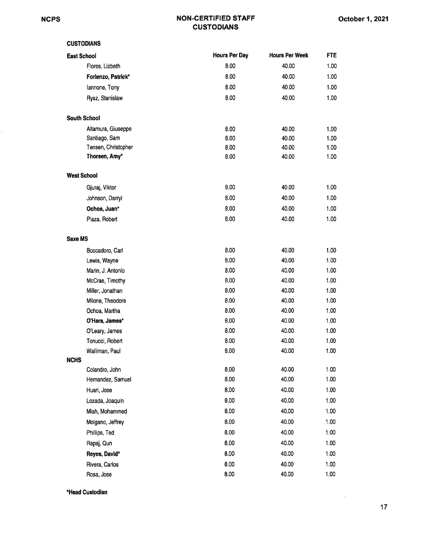#### NON.CERTIFIED STAFF **CUSTODIANS**

| <b>CUSTODIANS</b>   |                      |                       |            |
|---------------------|----------------------|-----------------------|------------|
| <b>East School</b>  | <b>Hours Per Day</b> | <b>Hours Per Week</b> | <b>FTE</b> |
| Flores, Lizbeth     | 8.00                 | 40.00                 | 1.00       |
| Forlenzo, Patrick*  | 8.00                 | 40.00                 | 1.00       |
| lannone, Tony       | 8.00                 | 40.00                 | 1.00       |
| Rysz, Stanislaw     | 8.00                 | 40.00                 | 1.00       |
|                     |                      |                       |            |
| <b>South School</b> |                      |                       |            |
| Altamura, Giuseppe  | 8.00                 | 40.00                 | 1.00       |
| Santiago, Sam       | 8.00                 | 40.00                 | 1.00       |
| Tensen, Christopher | 8.00                 | 40.00                 | 1.00       |
| Thorsen, Amy*       | 8.00                 | 40.00                 | 1.00       |
| <b>West School</b>  |                      |                       |            |
|                     | 8.00                 | 40.00                 | 1.00       |
| Gjuraj, Viktor      |                      |                       |            |
| Johnson, Darryl     | 8.00                 | 40.00                 | 1.00       |
| Ochoa, Juan*        | 8.00                 | 40.00                 | 1.00       |
| Plaza, Robert       | 8.00                 | 40.00                 | 1.00       |
| <b>Saxe MS</b>      |                      |                       |            |
| Boccadoro, Carl     | 8.00                 | 40.00                 | 1.00       |
| Lewis, Wayne        | 8.00                 | 40.00                 | 1.00       |
| Marin, J. Antonio   | 8.00                 | 40.00                 | 1.00       |
| McCrae, Timothy     | 8.00                 | 40.00                 | 1.00       |
| Miller, Jonathan    | 8.00                 | 40.00                 | 1.00       |
| Milone, Theodore    | 8.00                 | 40.00                 | 1.00       |
| Ochoa, Martha       | 8.00                 | 40.00                 | 1.00       |
| O'Hara, James*      | 8.00                 | 40.00                 | 1.00       |
| O'Leary, James      | 8.00                 | 40.00                 | 1.00       |
| Tonucci, Robert     | 8.00                 | 40.00                 | 1.00       |
| Walliman, Paul      | 8.00                 | 40.00                 | 1.00       |
| <b>NCHS</b>         |                      |                       |            |
| Colandro, John      | 8.00                 | 40.00                 | 1.00       |
| Hernandez, Samuel   | 8.00                 | 40.00                 | 1.00       |
| Huari, Jose         | 8.00                 | 40.00                 | 1.00       |
| Lozada, Joaquin     | 8.00                 | 40.00                 | 1.00       |
| Miah, Mohammed      | 8.00                 | 40.00                 | 1.00       |
| Molgano, Jeffrey    | 8.00                 | 40.00                 | 1.00       |
| Phillips, Ted       | 8.00                 | 40.00                 | 1.00       |
| Rapaj, Qun          | 8.00                 | 40.00                 | 1.00       |
| Reyes, David*       | 8.00                 | 40.00                 | 1.00       |
| Rivera, Carlos      | 8.00                 | 40.00                 | 1.00       |
| Rosa, Jose          | 8.00                 | 40.00                 | 1.00       |

\*Head Custodian

 $\widetilde{\mathcal{A}}$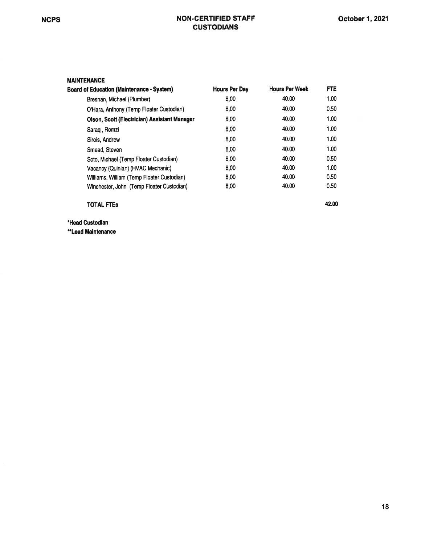#### NCPS NON-CERTIFIED STAFF **CUSTODIANS**

42.00

#### MAINTENANCE

| Board of Education (Maintenance - System)    | <b>Hours Per Dav</b> | <b>Hours Per Week</b> | <b>FTE</b> |
|----------------------------------------------|----------------------|-----------------------|------------|
| Bresnan, Michael (Plumber)                   | 8.00                 | 40.00                 | 1.00       |
| O'Hara, Anthony (Temp Floater Custodian)     | 8.00                 | 40.00                 | 0.50       |
| Olson, Scott (Electrician) Assistant Manager | 8.00                 | 40.00                 | 1.00       |
| Saraqi, Remzi                                | 8.00                 | 40.00                 | 1.00       |
| Sirois, Andrew                               | 8.00                 | 40.00                 | 1.00       |
| Smead, Steven                                | 8.00                 | 40.00                 | 1.00       |
| Soto, Michael (Temp Floater Custodian)       | 8.00                 | 40.00                 | 0.50       |
| Vacancy (Quinlan) (HVAC Mechanic)            | 8.00                 | 40.00                 | 1.00       |
| Williams, William (Temp Floater Custodian)   | 8.00                 | 40.00                 | 0.50       |
| Winchester, John (Temp Floater Custodian)    | 8.00                 | 40.00                 | 0.50       |
|                                              |                      |                       |            |

TOTAL FTEs

\*Head Custodian

\*Lead Maintenance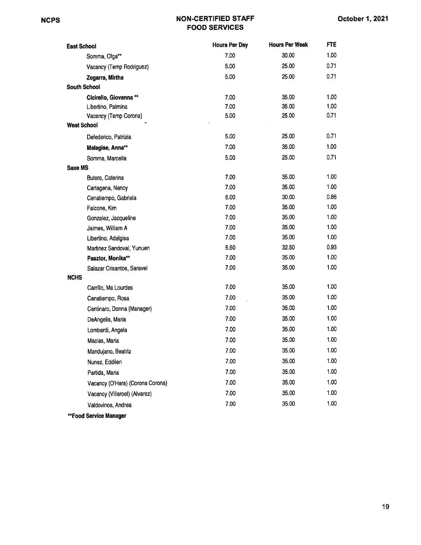#### NCPS NON.CERTIFIED STAFF FOOD SERVICES

| <b>East School</b>               | <b>Hours Per Day</b> | <b>Hours Per Week</b> | <b>FTE</b> |
|----------------------------------|----------------------|-----------------------|------------|
| Somma, Olga**                    | 7.00                 | 30.00                 | 1.00       |
| Vacancy (Temp Rodriguez)         | 5.00                 | 25.00                 | 0.71       |
| Zegarra, Mirtha                  | 5.00                 | 25.00                 | 0.71       |
| <b>South School</b>              |                      |                       |            |
| Cicirello, Giovanna **           | 7.00                 | 35.00                 | 1.00       |
| Libertino, Palmina               | 7.00                 | 35.00                 | 1.00       |
| Vacancy (Temp Corona)            | 5.00                 | 25.00                 | 0.71       |
| <b>West School</b>               |                      |                       |            |
| Defederico, Patrizia             | 5.00                 | 25.00                 | 0.71       |
| Malagise, Anna**                 | 7.00                 | 35.00                 | 1.00       |
| Somma, Marcella                  | 5.00                 | 25.00                 | 0.71       |
| <b>Saxe MS</b>                   |                      |                       |            |
| Butera, Caterina                 | 7.00                 | 35.00                 | 1.00       |
| Cartagena, Nancy                 | 7.00                 | 35.00                 | 1.00       |
| Cenatiempo, Gabriela             | 6.00                 | 30.00                 | 0.86       |
| Falcone, Kim                     | 7.00                 | 35.00                 | 1.00       |
| Gonzalez, Jacqueline             | 7.00                 | 35.00                 | 1.00       |
| Jaimes, William A                | 7.00                 | 35.00                 | 1.00       |
| Libertino, Adalgisa              | 7.00                 | 35.00                 | 1.00       |
| Martinez Sandoval, Yunuen        | 6.50                 | 32.50                 | 0.93       |
| Pasztor, Monika**                | 7.00                 | 35.00                 | 1.00       |
| Salazar Crisantos, Saravel       | 7.00                 | 35.00                 | 1.00       |
| <b>NCHS</b>                      |                      |                       |            |
| Carrillo, Ma Lourdes             | 7.00                 | 35.00                 | 1.00       |
| Cenatiempo, Rosa                 | 7.00                 | 35.00                 | 1.00       |
| Centinaro, Donna (Manager)       | 7.00                 | 35.00                 | 1.00       |
| DeAngelis, Maria                 | 7.00                 | 35.00                 | 1.00       |
| Lombardi, Angela                 | 7.00                 | 35.00                 | 1.00       |
| Macias, Maria                    | 7.00                 | 35.00                 | 1.00       |
| Mandujano, Beatriz               | 7.00                 | 35.00                 | 1.00       |
| Nunez, Eddilen                   | 7.00                 | 35.00                 | 1.00       |
| Partida, Maria                   | 7.00                 | 35.00                 | 1.00       |
| Vacancy (O'Hara) (Corona Corona) | 7.00                 | 35.00                 | 1.00       |
| Vacancy (Villaroel) (Alvarez)    | 7.00                 | 35.00                 | 1.00       |
| Valdovinos, Andrea               | 7.00                 | 35.00                 | 1.00       |
| **Food Service Manager           |                      |                       |            |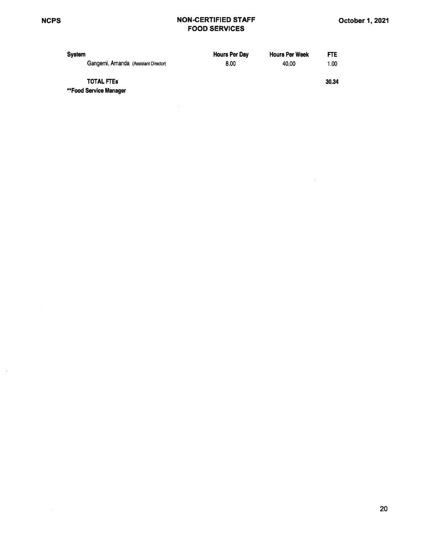$\tilde{\varepsilon}$ 

#### NON.CERTIFIED STAFF FOOD SERVICES

| <b>System</b>                        | <b>Hours Per Day</b> | <b>Hours Per Week</b> | <b>FTE</b> |
|--------------------------------------|----------------------|-----------------------|------------|
| Gangemi, Amanda (Assistant Director) | 8.00                 | 40.00                 | 1.00       |
| <b>TOTAL FTES</b>                    |                      |                       | 30.34      |

\*\*Food Service Manager

 $\langle \sigma \rangle$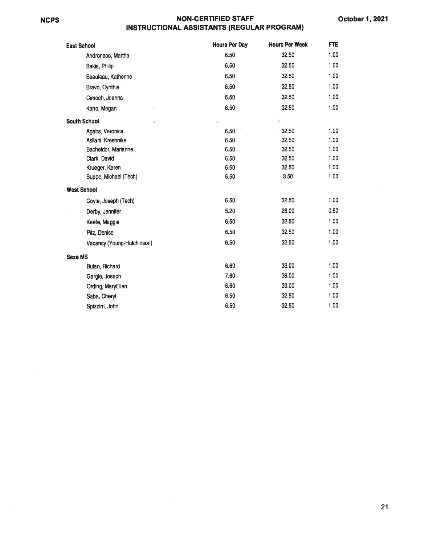### NCPS NON.CERTIFIED STAFF

| INSTRUCTIONAL ASSISTANTS (REGULAR PROGRAM) |  |  |  |  |
|--------------------------------------------|--|--|--|--|
|--------------------------------------------|--|--|--|--|

| <b>East School</b>         | <b>Hours Per Day</b> | <b>Hours Per Week</b> | <b>FTE</b> |
|----------------------------|----------------------|-----------------------|------------|
| Andronaco, Martha          | 6.50                 | 32.50                 | 1.00       |
| Bakis, Philip              | 6.50                 | 32.50                 | 1.00       |
| Beauleau, Katherine        | 6.50                 | 32.50                 | 1.00       |
| Bravo, Cynthia             | 6.50                 | 32.50                 | 1.00       |
| Cimoch, Joanna             | 6.50                 | 32.50                 | 1.00       |
| Kane, Megan                | 6.50                 | 32.50                 | 1.00       |
| <b>South School</b><br>¢.  | $\pmb{\ast}$         | 2                     |            |
| Agabs, Veronica            | 6.50                 | 32.50<br>ŀ.           | 1.00       |
| Asllani, Kreshnike         | 6.50                 | 32.50                 | 1.00       |
| Bacheldor, Marianne        | 6.50                 | 32.50                 | 1.00       |
| Clark, David               | 6.50                 | 32.50                 | 1.00       |
| Krueger, Karen             | 6.50                 | 32.50                 | 1.00       |
| Suppe, Michael (Tech)      | 6.50                 | 3.50                  | 1.00       |
| <b>West School</b>         |                      |                       |            |
| Coyle, Joseph (Tech)       | 6.50                 | 32.50                 | 1.00       |
| Derby, Jennifer            | 5.20                 | 26.00                 | 0.80       |
| Keefe, Maggie              | 6.50                 | 32.50                 | 1.00       |
| Pitz, Denise               | 6.50                 | 32.50                 | 1.00       |
| Vacancy (Young-Hutchinson) | 6.50                 | 32.50                 | 1.00       |
| <b>Saxe MS</b>             |                      |                       |            |
| Bulan, Richard             | 6.60                 | 33.00                 | 1.00       |
| Gergle, Joseph             | 7.60                 | 38.00                 | 1.00       |
| Ording, MaryEllen          | 6.60                 | 33.00                 | 1.00       |
| Saba, Cheryl               | 6.50                 | 32.50                 | 1.00       |
| Spizzirri, John            | 6.50                 | 32.50                 | 1.00       |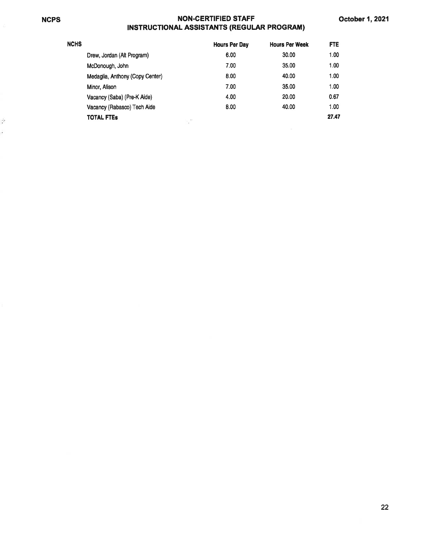$\tau$ ė,

# NCPS NON.CERTIFIED STAFF

| INSTRUCTIONAL ASSISTANTS (REGULAR PROGRAM) |               |                       |
|--------------------------------------------|---------------|-----------------------|
|                                            | Houre Per Day | <b>Houre Par Week</b> |

| NCHS |                                 | <b>Hours Per Day</b> | <b>Hours Per Week</b> | FTE   |
|------|---------------------------------|----------------------|-----------------------|-------|
|      | Drew, Jordan (Alt Program)      | 6.00                 | 30.00                 | 1.00  |
|      | McDonough, John                 | 7.00                 | 35.00                 | 1.00  |
|      | Medaglia, Anthony (Copy Center) | 8.00                 | 40.00                 | 1.00  |
|      | Minor, Alison                   | 7.00                 | 35.00                 | 1.00  |
|      | Vacancy (Saba) (Pre-K Aide)     | 4.00                 | 20.00                 | 0.67  |
|      | Vacancy (Rabasco) Tech Aide     | 8.00                 | 40.00                 | 1.00  |
|      | <b>TOTAL FTES</b>               | v                    |                       | 27.47 |
|      |                                 |                      |                       |       |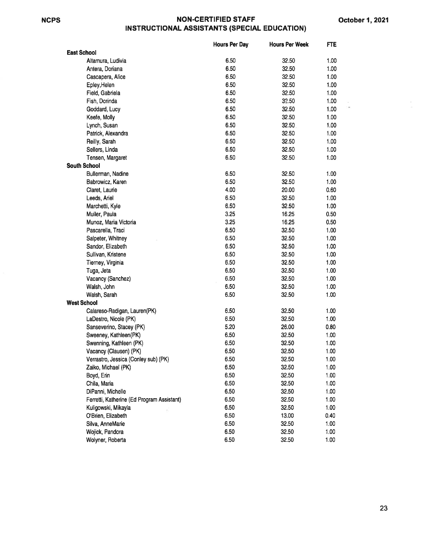#### NCPS NON.CERTIFIED STAFF IN STRUCTIONAL ASSISTANTS (SPECIAL EDUCATION)

÷.

|                                            | <b>Hours Per Day</b> | <b>Hours Per Week</b> | FTE  |
|--------------------------------------------|----------------------|-----------------------|------|
| <b>East School</b>                         |                      |                       |      |
| Altamura, Ludivia                          | 6.50                 | 32.50                 | 1.00 |
| Antera, Doriana                            | 6.50                 | 32.50                 | 1.00 |
| Cascapera, Alice                           | 6.50                 | 32.50                 | 1.00 |
| Epley, Helen                               | 6.50                 | 32.50                 | 1.00 |
| Field, Gabriela                            | 6.50                 | 32.50                 | 1.00 |
| Fish, Dorinda                              | 6.50                 | 32.50                 | 1.00 |
| Goddard, Lucy                              | 6.50                 | 32.50                 | 1.00 |
| Keefe, Molly                               | 6.50                 | 32.50                 | 1.00 |
| Lynch, Susan                               | 6.50                 | 32.50                 | 1.00 |
| Patrick, Alexandra                         | 6.50                 | 32.50                 | 1.00 |
| Reilly, Sarah                              | 6.50                 | 32.50                 | 1.00 |
| Sellers, Linda                             | 6.50                 | 32.50                 | 1.00 |
| Tensen, Margaret                           | 6.50                 | 32.50                 | 1.00 |
| <b>South School</b>                        |                      |                       |      |
| Bullerman, Nadine                          | 6.50                 | 32.50                 | 1.00 |
| Babrowicz, Karen                           | 6.50                 | 32.50                 | 1.00 |
| Claret, Laurie                             | 4.00                 | 20.00                 | 0.60 |
| Leeds, Ariel                               | 6.50                 | 32.50                 | 1.00 |
| Marchetti, Kyle                            | 6.50                 | 32.50                 | 1.00 |
| Muller, Paula                              | 3.25                 | 16.25                 | 0.50 |
| Munoz, Maria Victoria                      | 3.25                 | 16.25                 | 0.50 |
| Pascarella, Traci                          | 6.50                 | 32.50                 | 1.00 |
| Salpeter, Whitney                          | 6.50                 | 32.50                 | 1.00 |
| Sandor, Elizabeth                          | 6.50                 | 32.50                 | 1.00 |
| Sullivan, Kristene                         | 6.50                 | 32.50                 | 1.00 |
| Tierney, Virginia                          | 6.50                 | 32.50                 | 1.00 |
| Tuga, Jeta                                 | 6.50                 | 32.50                 | 1.00 |
| Vacancy (Sanchez)                          | 6.50                 | 32.50                 | 1.00 |
| Walsh, John                                | 6.50                 | 32.50                 | 1.00 |
| Walsh, Sarah                               | 6.50                 | 32.50                 | 1.00 |
| <b>West School</b>                         |                      |                       |      |
| Calareso-Radigan, Lauren(PK)               | 6.50                 | 32.50                 | 1.00 |
| LaDestro, Nicole (PK)                      | 6.50                 | 32.50                 | 1.00 |
| Sanseverino, Stacey (PK)                   | 5.20                 | 26.00                 | 0.80 |
| Sweeney, Kathleen(PK)                      | 6.50                 | 32.50                 | 1.00 |
| Swenning, Kathleen (PK)                    | 6.50                 | 32.50                 | 1.00 |
| Vacancy (Clausen) (PK)                     | 6.50                 | 32.50                 | 1.00 |
| Verrastro, Jessica (Conley sub) (PK)       | 6.50                 | 32.50                 | 1.00 |
| Zaiko, Michael (PK)                        | 6.50                 | 32.50                 | 1.00 |
| Boyd, Erin                                 | 6.50                 | 32.50                 | 1.00 |
| Chila, Maria                               | 6.50                 | 32.50                 | 1.00 |
| DiPanni, Michelle                          | 6.50                 | 32.50                 | 1.00 |
| Ferretti, Katherine (Ed Program Assistant) | 6.50                 | 32.50                 | 1.00 |
| Kuligowski, Mikayla                        | 6.50                 | 32.50                 | 1.00 |
| O'Brien, Elizabeth                         | 6.50                 | 13.00                 | 0.40 |
| Silva, AnneMarie                           | 6.50                 | 32.50                 | 1.00 |
| Wojick, Pandora                            | 6.50                 | 32.50                 | 1.00 |
| Wolyner, Roberta                           | 6.50                 | 32.50                 | 1.00 |
|                                            |                      |                       |      |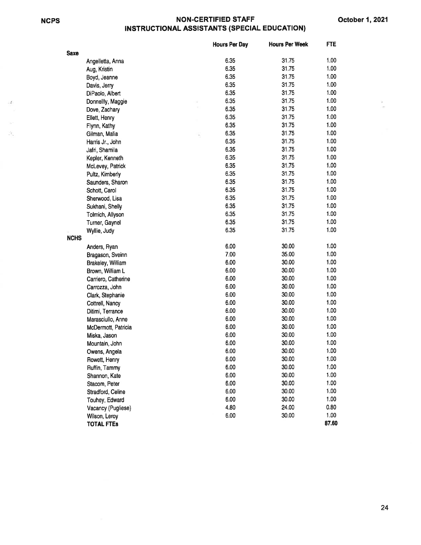$\mathcal{L}$ 

齿

#### NGPS NON.CERTIFIED STAFF **INSTRUCTIONAL ASSISTANTS (SPECIAL EDUCATION)**

|             |                     | <b>Hours Per Day</b> | <b>Hours Per Week</b> | <b>FTE</b> |
|-------------|---------------------|----------------------|-----------------------|------------|
| <b>Saxe</b> |                     |                      |                       |            |
|             | Angelletta, Anna    | 6.35                 | 31.75                 | 1.00       |
|             | Aug, Kristin        | 6.35                 | 31.75                 | 1.00       |
|             | Boyd, Jeanne        | 6.35                 | 31.75                 | 1.00       |
|             | Davis, Jerry        | 6.35                 | 31.75                 | 1.00       |
|             | DiPaolo, Albert     | 6.35                 | 31.75                 | 1.00       |
|             | Donnellly, Maggie   | 6.35                 | 31.75                 | 1.00       |
|             | Dove, Zachary       | 6.35                 | 31.75                 | 1.00       |
|             | Ellett, Henry       | 6.35                 | 31.75                 | 1.00       |
|             | Flynn, Kathy        | 6.35                 | 31.75                 | 1.00       |
|             | Gilman, Malia       | 6.35                 | 31.75                 | 1.00       |
|             | Harris Jr., John    | 6.35                 | 31.75                 | 1.00       |
|             | Jafri, Shamila      | 6.35                 | 31.75                 | 1.00       |
|             | Kepler, Kenneth     | 6.35                 | 31.75                 | 1.00       |
|             | McLevey, Patrick    | 6.35                 | 31.75                 | 1.00       |
|             | Pultz, Kimberly     | 6.35                 | 31.75                 | 1.00       |
|             | Saunders, Sharon    | 6.35                 | 31.75                 | 1.00       |
|             | Schott, Carol       | 6.35                 | 31.75                 | 1.00       |
|             | Sherwood, Lisa      | 6.35                 | 31.75                 | 1.00       |
|             | Sukhani, Shelly     | 6.35                 | 31.75                 | 1.00       |
|             | Tolmich, Allyson    | 6.35                 | 31.75                 | 1.00       |
|             | Turner, Gaynel      | 6.35                 | 31.75                 | 1.00       |
|             | Wyllie, Judy        | 6.35                 | 31.75                 | 1.00       |
| <b>NCHS</b> |                     |                      |                       |            |
|             | Anders, Ryan        | 6.00                 | 30.00                 | 1.00       |
|             | Bragason, Sveinn    | 7.00                 | 35.00                 | 1.00       |
|             | Brakeley, William   | 6.00                 | 30.00                 | 1.00       |
|             | Brown, William L    | 6.00                 | 30.00                 | 1.00       |
|             | Carriero, Catherine | 6.00                 | 30.00                 | 1.00       |
|             | Carrozza, John      | 6.00                 | 30.00                 | 1.00       |
|             | Clark, Stephanie    | 6.00                 | 30.00                 | 1.00       |
|             | Cottrell, Nancy     | 6.00                 | 30.00                 | 1.00       |
|             | Ditimi, Terrance    | 6.00                 | 30.00                 | 1.00       |
|             | Marasciullo, Anne   | 6.00                 | 30.00                 | 1.00       |
|             | McDermott, Patricia | 6.00                 | 30.00                 | 1.00       |
|             | Miska, Jason        | 6.00                 | 30.00                 | 1.00       |
|             | Mountain, John      | 6.00                 | 30.00                 | 1.00       |
|             | Owens, Angela       | 6.00                 | 30.00                 | 1.00       |
|             | Rowett, Henry       | 6.00                 | 30.00                 | 1.00       |
|             | Ruffin, Tammy       | 6.00                 | 30.00                 | 1.00       |
|             | Shannon, Kate       | 6.00                 | 30.00                 | 1.00       |
|             | Stacom, Peter       | 6.00                 | 30.00                 | 1.00       |
|             | Stradford, Celine   | 6.00                 | 30.00                 | 1.00       |
|             | Touhey, Edward      | 6.00                 | 30.00                 | 1.00       |
|             | Vacancy (Pugliese)  | 4.80                 | 24.00                 | 0.80       |
|             | Wilson, Leroy       | 6.00                 | 30.00                 | 1.00       |
|             | <b>TOTAL FTES</b>   |                      |                       | 87.60      |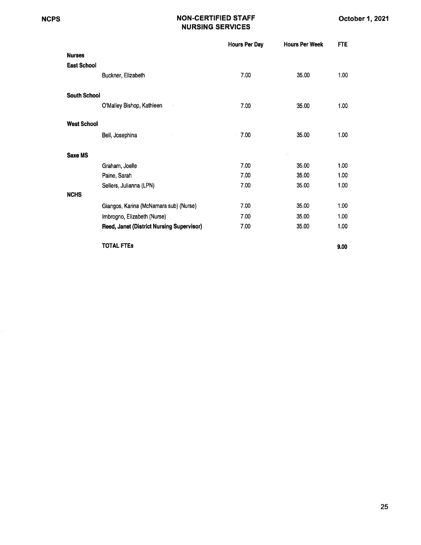#### NCPS NON-CERTIFIED STAFF NURSING SERVICES

|                     |                                           | <b>Hours Per Day</b> | <b>Hours Per Week</b> | <b>FTE</b>        |
|---------------------|-------------------------------------------|----------------------|-----------------------|-------------------|
| <b>Nurses</b>       |                                           |                      |                       |                   |
| <b>East School</b>  |                                           |                      |                       |                   |
|                     | Buckner, Elizabeth                        | 7.00                 | 35.00                 | 1.00              |
|                     |                                           |                      |                       |                   |
| <b>South School</b> | i.                                        |                      |                       |                   |
|                     | O'Malley Bishop, Kathleen                 | 7.00                 | 35.00                 | 1.00              |
| <b>West School</b>  |                                           |                      |                       |                   |
|                     | Bell, Josephina                           | 7.00                 | 35.00                 | 1.00              |
|                     |                                           |                      |                       |                   |
| Saxe MS             |                                           |                      |                       |                   |
|                     | Graham, Joelle                            | 7.00                 | 35.00                 | 1.00              |
|                     | Paine, Sarah                              | 7.00                 | 35.00                 | 1.00              |
|                     | Sellers, Julianna (LPN)                   | 7.00                 | 35.00                 | 1.00              |
| <b>NCHS</b>         |                                           |                      |                       |                   |
|                     | Giangos, Karina (McNamara sub) (Nurse)    | 7.00                 | 35.00                 | 1.00              |
|                     | Imbrogno, Elizabeth (Nurse)               | 7.00                 | 35.00                 | 1.00 <sub>1</sub> |
|                     | Reed, Janet (District Nursing Supervisor) | 7.00                 | 35.00                 | 1.00              |
|                     | TOTAL FTEs                                |                      |                       | 9.00              |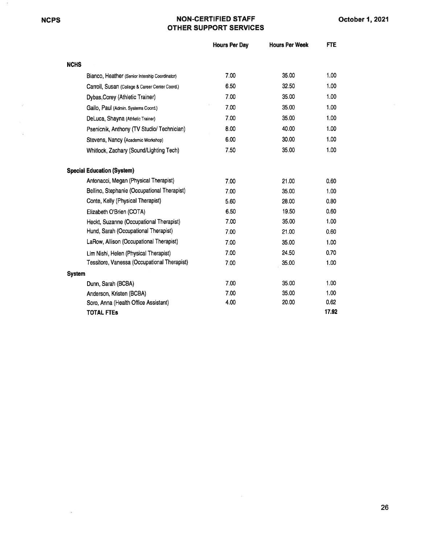$\sim$ 

 $\sigma^2_{\nu}$ 

 $\omega$ 

 $\tilde{\alpha}$ 

#### NCPS NON.CERTIFIED STAFF OTHER SUPPORT SERVICES

|               |                                                 | <b>Hours Per Day</b> | <b>Hours Per Week</b> | FTE.  |
|---------------|-------------------------------------------------|----------------------|-----------------------|-------|
| <b>NCHS</b>   |                                                 |                      |                       |       |
|               | Bianco, Heather (Senior Intership Coordinator)  | 7.00                 | 35.00                 | 1.00  |
|               | Carroll, Susan (College & Career Center Coord.) | 6.50                 | 32.50                 | 1.00  |
|               | Dybas, Corey (Athletic Trainer)                 | 7.00                 | 35.00                 | 1.00  |
|               | Gallo, Paul (Admin. Systems Coord.)             | 7.00                 | 35.00                 | 1.00  |
|               | DeLuca, Shayna (Athletic Trainer)               | 7.00                 | 35.00                 | 1.00  |
|               | Psenicnik, Anthony (TV Studio/ Technician)      | 8.00                 | 40.00                 | 1.00  |
|               | Stevens, Nancy (Academic Workshop)              | 6.00                 | 30.00                 | 1.00  |
|               | Whitlock, Zachary (Sound/Lighting Tech)         | 7.50                 | 35.00                 | 1.00  |
|               | <b>Special Education (System)</b>               |                      |                       |       |
|               | Antonacci, Megan (Physical Therapist)           | 7.00                 | 21.00                 | 0.60  |
|               | Bellino, Stephanie (Occupational Therapist)     | 7.00                 | 35.00                 | 1.00  |
|               | Conte, Kelly (Physical Therapist)               | 5.60                 | 28.00                 | 0.80  |
|               | Elizabeth O'Brien (COTA)                        | 6.50                 | 19.50                 | 0.60  |
|               | Heckt, Suzanne (Occupational Therapist)         | 7.00                 | 35.00                 | 1.00  |
|               | Hund, Sarah (Occupational Therapist)            | 7.00                 | 21.00                 | 0.60  |
|               | LaRow, Allison (Occupational Therapist)         | 7.00                 | 35.00                 | 1.00  |
|               | Lim Nishi, Helen (Physical Therapist)           | 7.00                 | 24.50                 | 0.70  |
|               | Tessitore, Vanessa (Occupational Therapist)     | 7.00                 | 35.00                 | 1.00  |
| <b>System</b> |                                                 |                      |                       |       |
|               | Dunn, Sarah (BCBA)                              | 7.00                 | 35.00                 | 1.00  |
|               | Anderson, Kristen (BCBA)                        | 7.00                 | 35.00                 | 1.00  |
|               | Soro, Anna (Health Office Assistant)            | 4.00                 | 20.00                 | 0.62  |
|               | <b>TOTAL FTEs</b>                               |                      |                       | 17.92 |

 $\langle \hat{q}_i \rangle$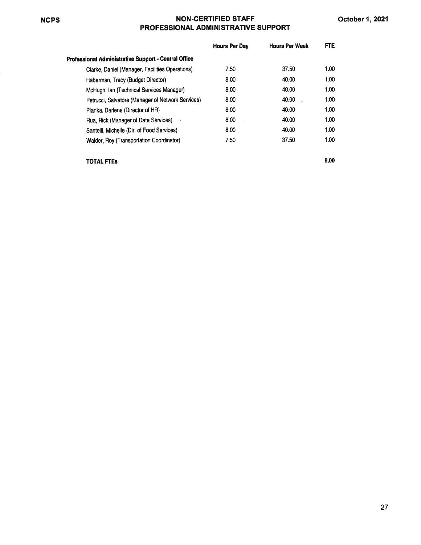### NCPS NON.CERTIFIED STAFF PROFESSIONAL ADMINISTRATIVE SUPPORT

|                                                      | <b>Hours Per Day</b> | <b>Hours Per Week</b> | FTE.              |
|------------------------------------------------------|----------------------|-----------------------|-------------------|
| Professional Administrative Support - Central Office |                      |                       |                   |
| Clarke, Daniel (Manager, Facilities Operations)      | 7.50                 | 37.50                 | 1.00              |
| Haberman, Tracy (Budget Director)                    | 8.00                 | 40.00                 | 1.00              |
| McHugh, Ian (Technical Services Manager)             | 8.00                 | 40.00                 | 1.00              |
| Petrucci, Salvatore (Manager of Network Services)    | 8.00                 | 40.00                 | 1.00              |
| Pianka, Darlene (Director of HR)                     | 8.00                 | 40.00                 | 1.00              |
| Rua, Rick (Manager of Data Services)                 | 8.00                 | 40.00                 | 1.00              |
| Santelli, Michelle (Dir. of Food Services)           | 8.00                 | 40.00                 | 1.00 <sub>1</sub> |
| Walder, Roy (Transportation Coordinator)             | 7.50                 | 37.50                 | 1.00 <sub>1</sub> |
|                                                      |                      |                       |                   |

TOTAL FTEs

8.00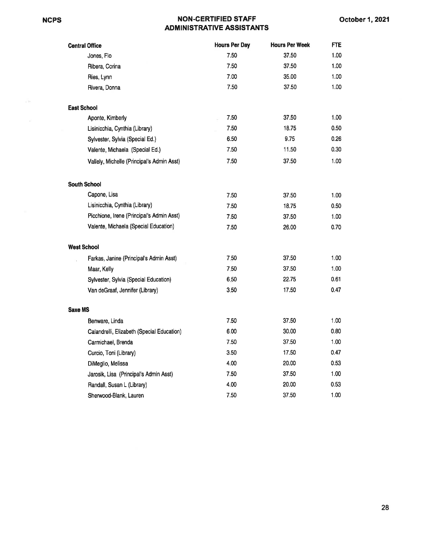#### NON.CERTIFIED STAFF **ADMINISTRATIVE ASSISTANTS**

| <b>Central Office</b>                      | <b>Hours Per Day</b> | <b>Hours Per Week</b> | <b>FTE</b> |
|--------------------------------------------|----------------------|-----------------------|------------|
| Jones, Flo                                 | 7.50                 | 37.50                 | 1.00       |
| Ribera, Corina                             | 7.50                 | 37.50                 | 1.00       |
| Ries, Lynn                                 | 7.00                 | 35.00                 | 1.00       |
| Rivera, Donna                              | 7.50                 | 37.50                 | 1.00       |
| <b>East School</b>                         |                      |                       |            |
| Aponte, Kimberly                           | 7.50                 | 37.50                 | 1.00       |
| Lisinicchia, Cynthia (Library)             | 7.50                 | 18.75                 | 0.50       |
| Sylvester, Sylvia (Special Ed.)            | 6.50                 | 9.75                  | 0.26       |
| Valente, Michaela (Special Ed.)            | 7.50                 | 11.50                 | 0.30       |
| Vallely, Michelle (Principal's Admin Asst) | 7.50                 | 37.50                 | 1.00       |
| <b>South School</b>                        |                      |                       |            |
| Capone, Lisa                               | 7.50                 | 37.50                 | 1.00       |
| Lisinicchia, Cynthia (Library)             | 7.50                 | 18.75                 | 0.50       |
| Picchione, Irene (Principal's Admin Asst)  | 7.50                 | 37.50                 | 1.00       |
| Valente, Michaela (Special Education)      | 7.50                 | 26.00                 | 0.70       |
| <b>West School</b>                         |                      |                       |            |
| Farkas, Janine (Principal's Admin Asst)    | 7.50                 | 37.50                 | 1.00       |
| Maar, Kelly                                | 7,50                 | 37.50                 | 1.00       |
| Sylvester, Sylvia (Special Education)      | 6.50                 | 22.75                 | 0.61       |
| Van deGraaf, Jennifer (Library)            | 3.50                 | 17.50                 | 0.47       |
| Saxe MS                                    |                      |                       |            |
| Benware, Linda                             | 7.50                 | 37.50                 | 1.00       |
| Calandrelli, Elizabeth (Special Education) | 6.00                 | 30.00                 | 0.80       |
| Carmichael, Brenda                         | 7.50                 | 37.50                 | 1.00       |
| Curcio, Toni (Library)                     | 3.50                 | 17.50                 | 0.47       |
| DiMeglio, Melissa                          | 4.00                 | 20.00                 | 0.53       |
| Jarosik, Lisa (Principal's Admin Asst)     | 7.50                 | 37.50                 | 1.00       |
| Randall, Susan L (Library)                 | 4.00                 | 20.00                 | 0.53       |
| Sherwood-Blank, Lauren                     | 7.50                 | 37.50                 | 1.00       |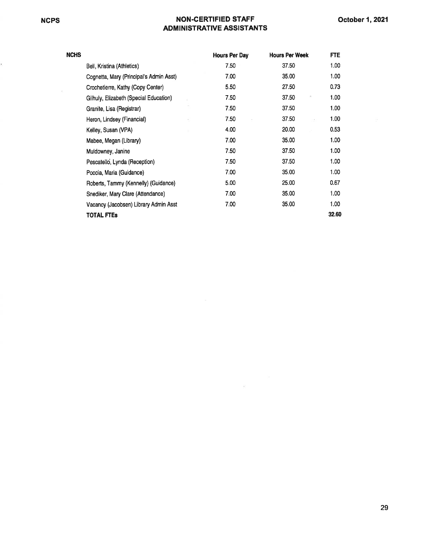$\chi$ 

k)

#### NON.GERTIFIED STAFF ADMINISTRATIVE ASSISTANTS

| NCHS |                                         | <b>Hours Per Day</b> | <b>Hours Per Week</b> | <b>FTE</b> |
|------|-----------------------------------------|----------------------|-----------------------|------------|
|      | Bell, Kristina (Athletics)              | 7.50                 | 37.50                 | 1.00       |
|      | Cognetta, Mary (Principal's Admin Asst) | 7.00                 | 35.00                 | 1.00       |
|      | Crochetierre, Kathy (Copy Center)       | 5.50                 | 27.50                 | 0.73       |
|      | Gilhuly, Elizabeth (Special Education)  | 7.50                 | 37.50                 | 1.00       |
|      | Granite, Lisa (Registrar)               | 7.50                 | 37.50                 | 1.00       |
|      | Heron, Lindsey (Financial)              | 7.50                 | 37.50<br>$\tau$       | 1.00       |
|      | Kelley, Susan (VPA)                     | 4.00                 | 20.00                 | 0.53       |
|      | Mabee, Megan (Library)                  | 7.00                 | 35.00                 | 1.00       |
|      | Muldowney, Janine                       | 7.50                 | 37.50                 | 1.00       |
|      | Pescatello, Lynda (Reception)           | 7.50                 | 37.50                 | 1.00       |
|      | Poccia, Maria (Guidance)                | 7.00                 | 35.00                 | 1.00       |
|      | Roberts, Tammy (Kennelly) (Guidance)    | 5.00                 | 25.00                 | 0.67       |
|      | Snediker, Mary Clare (Attendance)       | 7.00                 | 35.00                 | 1.00       |
|      | Vacancy (Jacobsen) Library Admin Asst   | 7.00                 | 35.00                 | 1.00       |
|      | TOTAL FTEs                              |                      |                       | 32.60      |

 $\overline{\mathcal{R}}$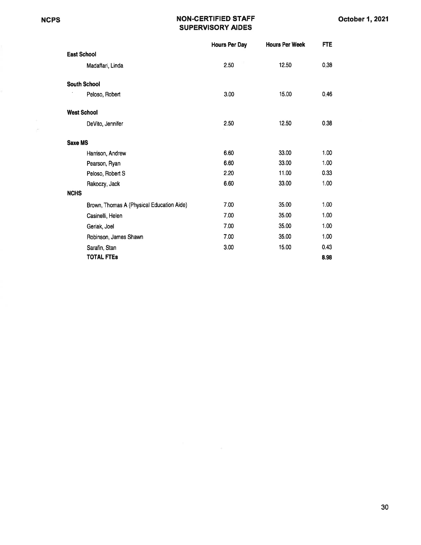#### NCPS NON-CERTIFIED STAFF SUPERVISORY AIDES

|                                           | <b>Hours Per Day</b> | <b>Hours Per Week</b> | <b>FTE</b> |
|-------------------------------------------|----------------------|-----------------------|------------|
| <b>East School</b>                        |                      |                       |            |
| Madaffari, Linda                          | 2.50                 | 12.50                 | 0.38       |
| <b>South School</b>                       |                      |                       |            |
| Peloso, Robert                            | 3.00                 | 15.00                 | 0.46       |
| <b>West School</b>                        |                      |                       |            |
| DeVito, Jennifer                          | 2.50                 | 12.50                 | 0.38       |
| <b>Saxe MS</b>                            |                      |                       |            |
| Harrison, Andrew                          | 6.60                 | 33.00                 | 1.00       |
| Pearson, Ryan                             | 6.60                 | 33.00                 | 1.00       |
| Peloso, Robert S                          | 2.20                 | 11.00                 | 0.33       |
| Rakoczy, Jack                             | 6.60                 | 33.00                 | 1.00       |
| <b>NCHS</b>                               |                      |                       |            |
| Brown, Thomas A (Physical Education Aide) | 7.00                 | 35.00                 | 1.00       |
| Casinelli, Helen                          | 7.00                 | 35.00                 | 1.00       |
| Geriak, Joel                              | 7.00                 | 35.00                 | 1.00       |
| Robinson, James Shawn                     | 7.00                 | 35.00                 | 1.00       |
| Sarafin, Stan                             | 3.00                 | 15.00                 | 0.43       |
| <b>TOTAL FTEs</b>                         |                      |                       | 8.98       |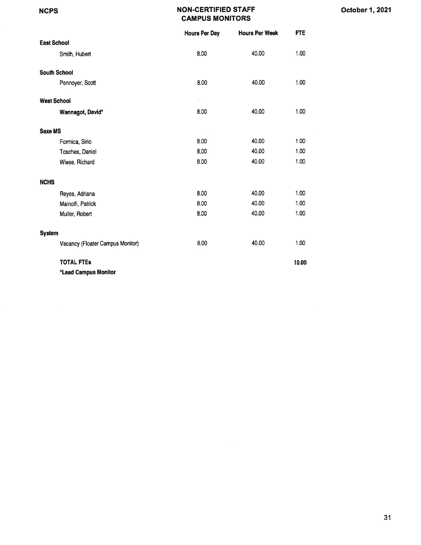#### NON.CERTIFIED STAFF CAMPUS MONITORS

|                                  | <b>Hours Per Day</b> | <b>Hours Per Week</b> | <b>FTE</b> |
|----------------------------------|----------------------|-----------------------|------------|
| <b>East School</b>               |                      |                       |            |
| Smith, Hubert                    | 8.00                 | 40.00                 | 1.00       |
| <b>South School</b>              |                      |                       |            |
| Pennoyer, Scott                  | 8.00                 | 40.00                 | 1.00       |
| <b>West School</b>               |                      |                       |            |
| Wannagot, David*                 | 8.00                 | 40.00                 | 1.00       |
| <b>Saxe MS</b>                   |                      |                       |            |
| Formica, Sirio                   | 8.00                 | 40.00                 | 1.00       |
| Tosches, Daniel                  | 8.00                 | 40.00                 | 1.00       |
| Wiese, Richard                   | 8.00                 | 40.00                 | 1.00       |
| <b>NCHS</b>                      |                      |                       |            |
| Reyes, Adriana                   | 8.00                 | 40.00                 | 1.00       |
| Mainolfi, Patrick                | 8.00                 | 40.00                 | 1.00       |
| Muller, Robert                   | 8.00                 | 40.00                 | 1.00       |
| <b>System</b>                    |                      |                       |            |
| Vacancy (Floater Campus Monitor) | 8.00                 | 40.00                 | 1.00       |
| <b>TOTAL FTES</b>                |                      |                       | 10.00      |
| *Lead Campus Monitor             |                      |                       |            |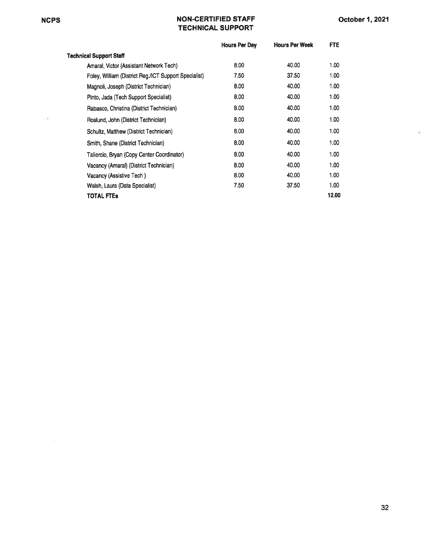$\sim$ 

#### NCPS NON.CERTIFIED STAFF TECHNICAL SUPPORT

ä

|                                                       | <b>Hours Per Day</b> | <b>Hours Per Week</b> | FTE.  |
|-------------------------------------------------------|----------------------|-----------------------|-------|
| <b>Technical Support Staff</b>                        |                      |                       |       |
| Amaral, Victor (Assistant Network Tech)               | 8.00                 | 40.00                 | 1.00  |
| Foley, William (District Reg./ICT Support Specialist) | 7.50                 | 37.50                 | 1.00  |
| Magnoli, Joseph (District Technician)                 | 8.00                 | 40.00                 | 1.00  |
| Pinto, Jada (Tech Support Specialist)                 | 8.00                 | 40.00                 | 1.00  |
| Rabasco, Christina (District Technician)              | 8.00                 | 40.00                 | 1.00  |
| Roslund, John (District Technician)                   | 8.00                 | 40.00                 | 1.00  |
| Schultz, Matthew (District Technician)                | 8.00                 | 40.00                 | 1.00  |
| Smith, Shane (District Technician)                    | 8.00                 | 40.00                 | 1.00  |
| Taliercio, Bryan (Copy Center Coordinator)            | 8.00                 | 40.00                 | 1.00  |
| Vacancy (Amaral) (District Technician)                | 8.00                 | 40.00                 | 1.00  |
| Vacancy (Assistive Tech)                              | 8.00                 | 40.00                 | 1.00  |
| Walsh, Laura (Data Specialist)                        | 7.50                 | 37.50                 | 1.00  |
| <b>TOTAL FTES</b>                                     |                      |                       | 12.00 |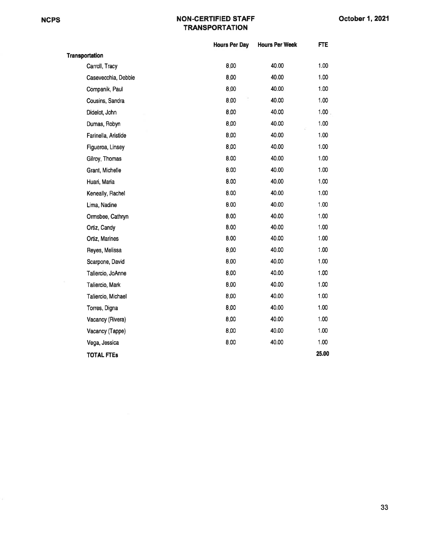#### NGPS NON-CERTIFIED STAFF **TRANSPORTATION**

|                       | <b>Hours Per Day</b> | <b>Hours Per Week</b> | <b>FTE</b> |
|-----------------------|----------------------|-----------------------|------------|
| <b>Transportation</b> |                      |                       |            |
| Carroll, Tracy        | 8.00                 | 40.00                 | 1.00       |
| Casevecchia, Debbie   | 8.00                 | 40.00                 | 1.00       |
| Companik, Paul        | 8.00                 | 40.00                 | 1.00       |
| Cousins, Sandra       | 8.00                 | 40.00                 | 1.00       |
| Didelot, John         | 8.00                 | 40.00                 | 1.00       |
| Dumas, Robyn          | 8.00                 | 40.00                 | 1.00       |
| Farinella, Aristide   | 8.00                 | 40.00                 | 1.00       |
| Figueroa, Linsey      | 8.00                 | 40.00                 | 1.00       |
| Gilroy, Thomas        | 8.00                 | 40.00                 | 1.00       |
| Grant, Michelle       | 8.00                 | 40.00                 | 1.00       |
| Huari, Maria          | 8.00                 | 40.00                 | 1.00       |
| Keneally, Rachel      | 8.00                 | 40.00                 | 1.00       |
| Lima, Nadine          | 8.00                 | 40.00                 | 1.00       |
| Ormsbee, Cathryn      | 8.00                 | 40.00                 | 1.00       |
| Ortiz, Candy          | 8.00                 | 40.00                 | 1.00       |
| Ortiz, Marines        | 8.00                 | 40.00                 | 1.00       |
| Reyes, Melissa        | 8.00                 | 40.00                 | 1.00       |
| Scarpone, David       | 8.00                 | 40.00                 | 1.00       |
| Taliercio, JoAnne     | 8.00                 | 40.00                 | 1.00       |
| Taliercio, Mark       | 8.00                 | 40.00                 | 1.00       |
| Taliercio, Michael    | 8.00                 | 40.00                 | 1.00       |
| Torres, Digna         | 8.00                 | 40.00                 | 1.00       |
| Vacancy (Rivera)      | 8.00                 | 40.00                 | 1.00       |
| Vacancy (Tappe)       | 8.00                 | 40.00                 | 1.00       |
| Vega, Jessica         | 8.00                 | 40.00                 | 1.00       |
| <b>TOTAL FTEs</b>     |                      |                       | 25.00      |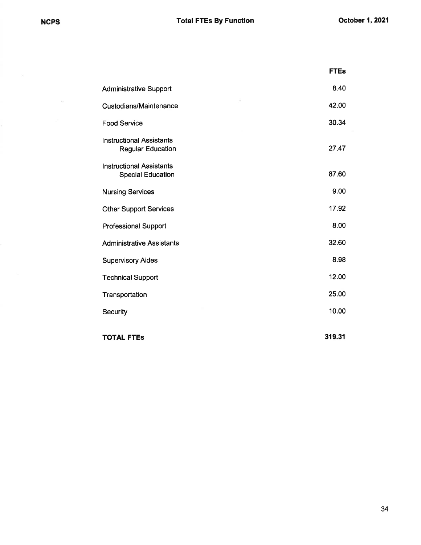$\bar{z}$ 

|                                                             | <b>FTEs</b> |
|-------------------------------------------------------------|-------------|
| <b>Administrative Support</b>                               | 8.40        |
| <b>Custodians/Maintenance</b>                               | 42.00       |
| <b>Food Service</b>                                         | 30.34       |
| <b>Instructional Assistants</b><br><b>Regular Education</b> | 27.47       |
| <b>Instructional Assistants</b><br><b>Special Education</b> | 87.60       |
| <b>Nursing Services</b>                                     | 9.00        |
| <b>Other Support Services</b>                               | 17.92       |
| <b>Professional Support</b>                                 | 8.00        |
| <b>Administrative Assistants</b>                            | 32.60       |
| <b>Supervisory Aides</b>                                    | 8.98        |
| <b>Technical Support</b>                                    | 12.00       |
| Transportation                                              | 25.00       |
| Security                                                    | 10.00       |
| <b>TOTAL FTES</b>                                           | 319.31      |